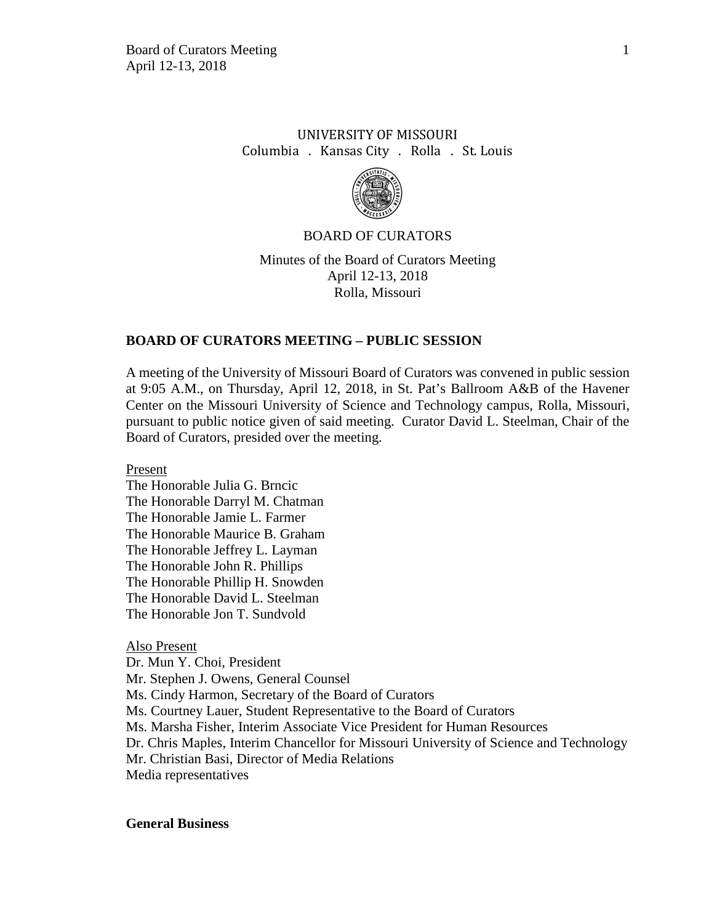# UNIVERSITY OF MISSOURI Columbia . Kansas City . Rolla . St. Louis



### BOARD OF CURATORS

Minutes of the Board of Curators Meeting April 12-13, 2018 Rolla, Missouri

### **BOARD OF CURATORS MEETING – PUBLIC SESSION**

A meeting of the University of Missouri Board of Curators was convened in public session at 9:05 A.M., on Thursday, April 12, 2018, in St. Pat's Ballroom A&B of the Havener Center on the Missouri University of Science and Technology campus, Rolla, Missouri, pursuant to public notice given of said meeting. Curator David L. Steelman, Chair of the Board of Curators, presided over the meeting.

Present

The Honorable Julia G. Brncic The Honorable Darryl M. Chatman The Honorable Jamie L. Farmer The Honorable Maurice B. Graham The Honorable Jeffrey L. Layman The Honorable John R. Phillips The Honorable Phillip H. Snowden The Honorable David L. Steelman The Honorable Jon T. Sundvold

#### Also Present

Dr. Mun Y. Choi, President Mr. Stephen J. Owens, General Counsel Ms. Cindy Harmon, Secretary of the Board of Curators Ms. Courtney Lauer, Student Representative to the Board of Curators Ms. Marsha Fisher, Interim Associate Vice President for Human Resources Dr. Chris Maples, Interim Chancellor for Missouri University of Science and Technology Mr. Christian Basi, Director of Media Relations Media representatives

#### **General Business**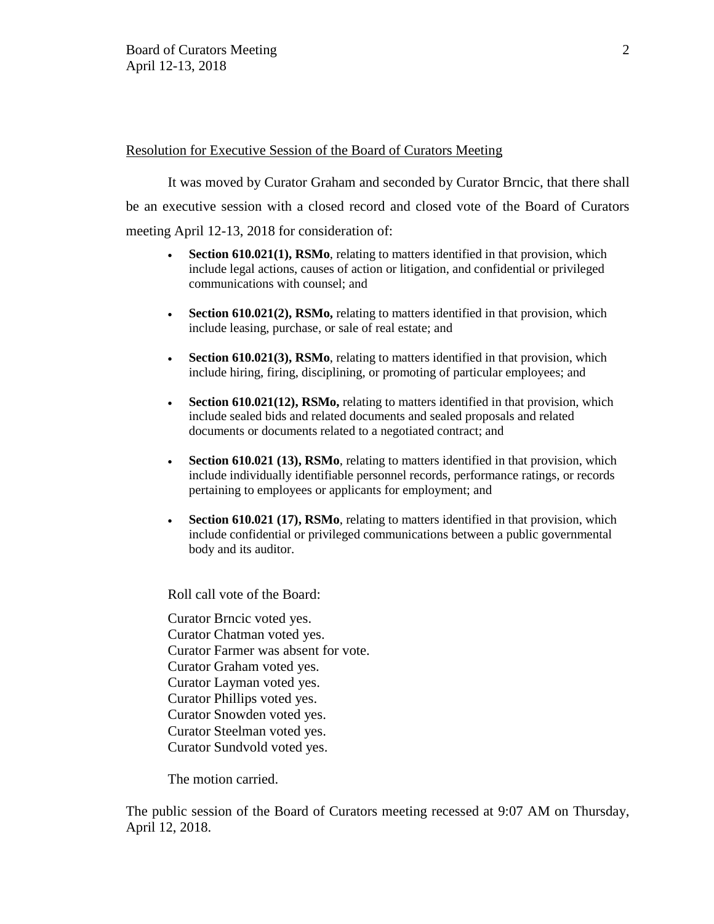### Resolution for Executive Session of the Board of Curators Meeting

It was moved by Curator Graham and seconded by Curator Brncic, that there shall be an executive session with a closed record and closed vote of the Board of Curators meeting April 12-13, 2018 for consideration of:

- **Section 610.021(1), RSMo**, relating to matters identified in that provision, which include legal actions, causes of action or litigation, and confidential or privileged communications with counsel; and
- **Section 610.021(2), RSMo,** relating to matters identified in that provision, which include leasing, purchase, or sale of real estate; and
- **Section 610.021(3), RSMo**, relating to matters identified in that provision, which include hiring, firing, disciplining, or promoting of particular employees; and
- **Section 610.021(12), RSMo,** relating to matters identified in that provision, which include sealed bids and related documents and sealed proposals and related documents or documents related to a negotiated contract; and
- **Section 610.021 (13), RSMo**, relating to matters identified in that provision, which include individually identifiable personnel records, performance ratings, or records pertaining to employees or applicants for employment; and
- **Section 610.021 (17), RSMo**, relating to matters identified in that provision, which include confidential or privileged communications between a public governmental body and its auditor.

Roll call vote of the Board:

Curator Brncic voted yes. Curator Chatman voted yes. Curator Farmer was absent for vote. Curator Graham voted yes. Curator Layman voted yes. Curator Phillips voted yes. Curator Snowden voted yes. Curator Steelman voted yes. Curator Sundvold voted yes.

The motion carried.

The public session of the Board of Curators meeting recessed at 9:07 AM on Thursday, April 12, 2018.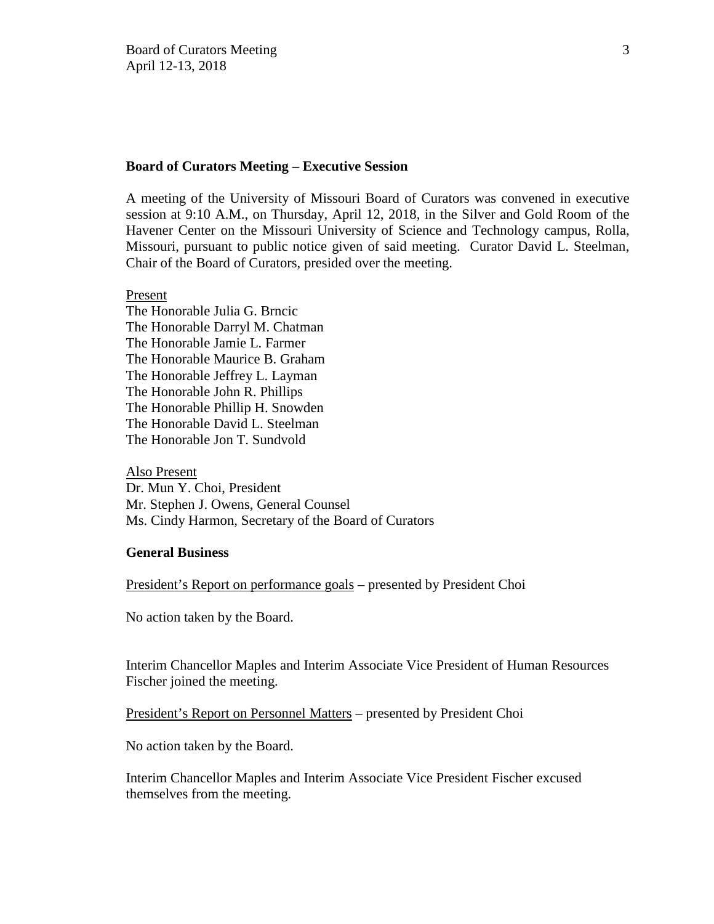#### **Board of Curators Meeting – Executive Session**

A meeting of the University of Missouri Board of Curators was convened in executive session at 9:10 A.M., on Thursday, April 12, 2018, in the Silver and Gold Room of the Havener Center on the Missouri University of Science and Technology campus, Rolla, Missouri, pursuant to public notice given of said meeting. Curator David L. Steelman, Chair of the Board of Curators, presided over the meeting.

#### Present

The Honorable Julia G. Brncic The Honorable Darryl M. Chatman The Honorable Jamie L. Farmer The Honorable Maurice B. Graham The Honorable Jeffrey L. Layman The Honorable John R. Phillips The Honorable Phillip H. Snowden The Honorable David L. Steelman The Honorable Jon T. Sundvold

#### Also Present

Dr. Mun Y. Choi, President Mr. Stephen J. Owens, General Counsel Ms. Cindy Harmon, Secretary of the Board of Curators

### **General Business**

President's Report on performance goals – presented by President Choi

No action taken by the Board.

Interim Chancellor Maples and Interim Associate Vice President of Human Resources Fischer joined the meeting.

President's Report on Personnel Matters – presented by President Choi

No action taken by the Board.

Interim Chancellor Maples and Interim Associate Vice President Fischer excused themselves from the meeting.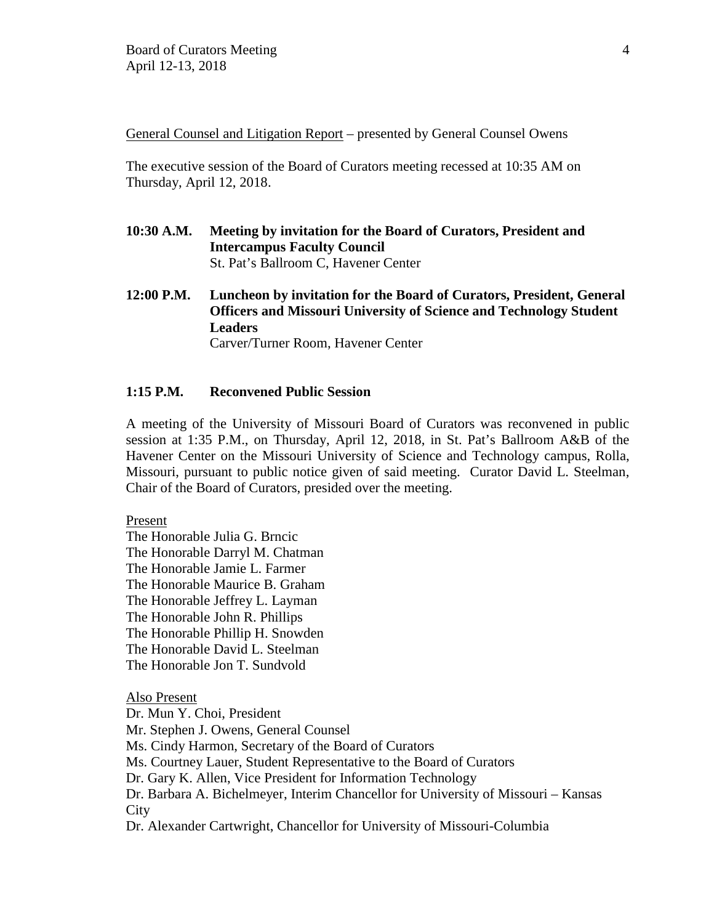General Counsel and Litigation Report – presented by General Counsel Owens

The executive session of the Board of Curators meeting recessed at 10:35 AM on Thursday, April 12, 2018.

- **10:30 A.M. Meeting by invitation for the Board of Curators, President and Intercampus Faculty Council**  St. Pat's Ballroom C, Havener Center
- **12:00 P.M. Luncheon by invitation for the Board of Curators, President, General Officers and Missouri University of Science and Technology Student Leaders** Carver/Turner Room, Havener Center

### **1:15 P.M. Reconvened Public Session**

A meeting of the University of Missouri Board of Curators was reconvened in public session at 1:35 P.M., on Thursday, April 12, 2018, in St. Pat's Ballroom A&B of the Havener Center on the Missouri University of Science and Technology campus, Rolla, Missouri, pursuant to public notice given of said meeting. Curator David L. Steelman, Chair of the Board of Curators, presided over the meeting.

Present

The Honorable Julia G. Brncic The Honorable Darryl M. Chatman The Honorable Jamie L. Farmer The Honorable Maurice B. Graham The Honorable Jeffrey L. Layman The Honorable John R. Phillips The Honorable Phillip H. Snowden The Honorable David L. Steelman The Honorable Jon T. Sundvold

Also Present Dr. Mun Y. Choi, President Mr. Stephen J. Owens, General Counsel Ms. Cindy Harmon, Secretary of the Board of Curators Ms. Courtney Lauer, Student Representative to the Board of Curators Dr. Gary K. Allen, Vice President for Information Technology Dr. Barbara A. Bichelmeyer, Interim Chancellor for University of Missouri – Kansas **City** Dr. Alexander Cartwright, Chancellor for University of Missouri-Columbia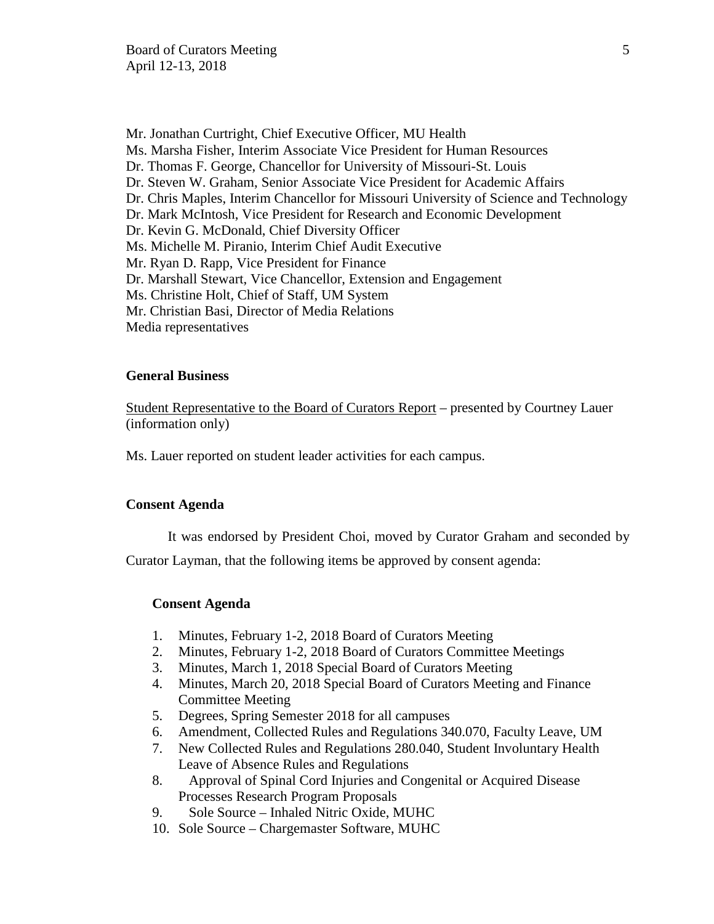Mr. Jonathan Curtright, Chief Executive Officer, MU Health Ms. Marsha Fisher, Interim Associate Vice President for Human Resources Dr. Thomas F. George, Chancellor for University of Missouri-St. Louis Dr. Steven W. Graham, Senior Associate Vice President for Academic Affairs Dr. Chris Maples, Interim Chancellor for Missouri University of Science and Technology Dr. Mark McIntosh, Vice President for Research and Economic Development Dr. Kevin G. McDonald, Chief Diversity Officer Ms. Michelle M. Piranio, Interim Chief Audit Executive Mr. Ryan D. Rapp, Vice President for Finance Dr. Marshall Stewart, Vice Chancellor, Extension and Engagement Ms. Christine Holt, Chief of Staff, UM System Mr. Christian Basi, Director of Media Relations Media representatives

#### **General Business**

Student Representative to the Board of Curators Report – presented by Courtney Lauer (information only)

Ms. Lauer reported on student leader activities for each campus.

#### **Consent Agenda**

It was endorsed by President Choi, moved by Curator Graham and seconded by

Curator Layman, that the following items be approved by consent agenda:

### **Consent Agenda**

- 1. Minutes, February 1-2, 2018 Board of Curators Meeting
- 2. Minutes, February 1-2, 2018 Board of Curators Committee Meetings
- 3. Minutes, March 1, 2018 Special Board of Curators Meeting
- 4. Minutes, March 20, 2018 Special Board of Curators Meeting and Finance Committee Meeting
- 5. Degrees, Spring Semester 2018 for all campuses
- 6. Amendment, Collected Rules and Regulations 340.070, Faculty Leave, UM
- 7. New Collected Rules and Regulations 280.040, Student Involuntary Health Leave of Absence Rules and Regulations
- 8. Approval of Spinal Cord Injuries and Congenital or Acquired Disease Processes Research Program Proposals
- 9. Sole Source Inhaled Nitric Oxide, MUHC
- 10. Sole Source Chargemaster Software, MUHC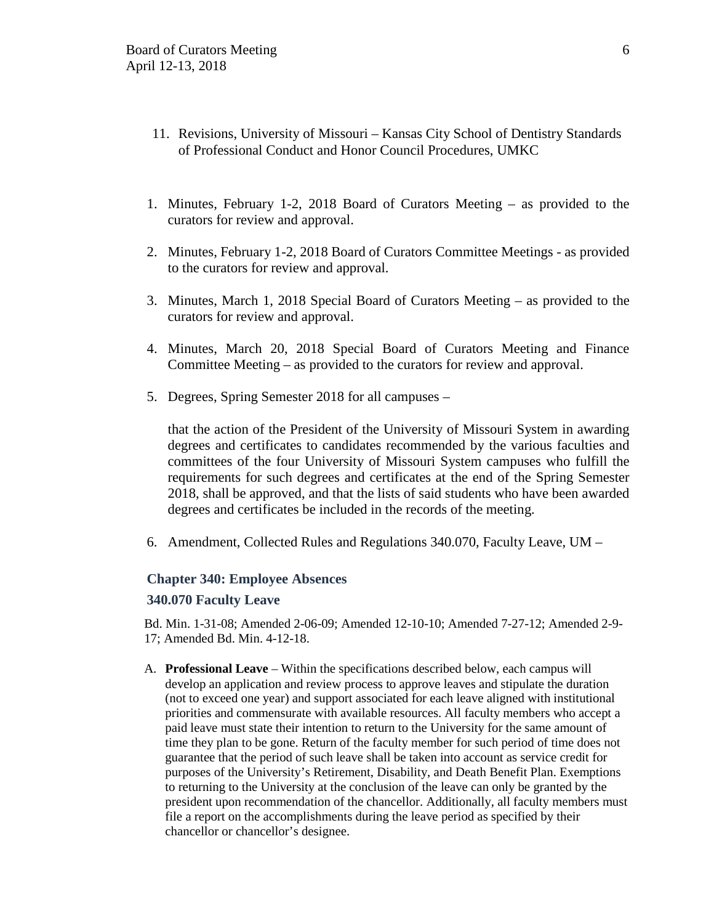- 11. Revisions, University of Missouri Kansas City School of Dentistry Standards of Professional Conduct and Honor Council Procedures, UMKC
- 1. Minutes, February 1-2, 2018 Board of Curators Meeting as provided to the curators for review and approval.
- 2. Minutes, February 1-2, 2018 Board of Curators Committee Meetings as provided to the curators for review and approval.
- 3. Minutes, March 1, 2018 Special Board of Curators Meeting as provided to the curators for review and approval.
- 4. Minutes, March 20, 2018 Special Board of Curators Meeting and Finance Committee Meeting – as provided to the curators for review and approval.
- 5. Degrees, Spring Semester 2018 for all campuses –

that the action of the President of the University of Missouri System in awarding degrees and certificates to candidates recommended by the various faculties and committees of the four University of Missouri System campuses who fulfill the requirements for such degrees and certificates at the end of the Spring Semester 2018, shall be approved, and that the lists of said students who have been awarded degrees and certificates be included in the records of the meeting.

6. Amendment, Collected Rules and Regulations 340.070, Faculty Leave, UM –

#### **Chapter 340: Employee Absences**

#### **340.070 Faculty Leave**

Bd. Min. 1-31-08; Amended 2-06-09; Amended 12-10-10; Amended 7-27-12; Amended 2-9- 17; Amended Bd. Min. 4-12-18.

A. **Professional Leave** – Within the specifications described below, each campus will develop an application and review process to approve leaves and stipulate the duration (not to exceed one year) and support associated for each leave aligned with institutional priorities and commensurate with available resources. All faculty members who accept a paid leave must state their intention to return to the University for the same amount of time they plan to be gone. Return of the faculty member for such period of time does not guarantee that the period of such leave shall be taken into account as service credit for purposes of the University's Retirement, Disability, and Death Benefit Plan. Exemptions to returning to the University at the conclusion of the leave can only be granted by the president upon recommendation of the chancellor. Additionally, all faculty members must file a report on the accomplishments during the leave period as specified by their chancellor or chancellor's designee.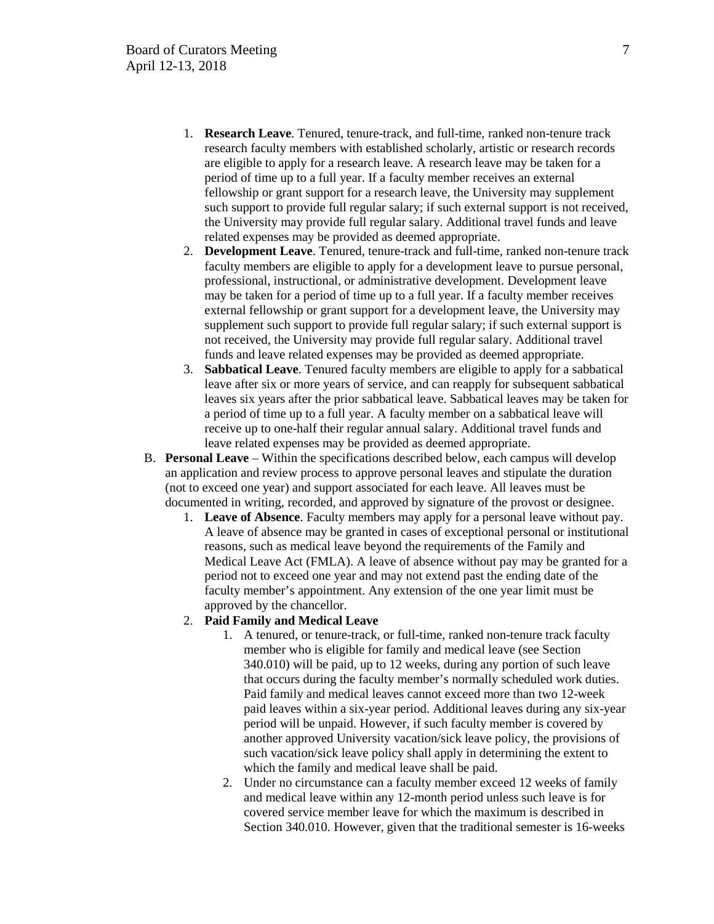- 1. **Research Leave**. Tenured, tenure-track, and full-time, ranked non-tenure track research faculty members with established scholarly, artistic or research records are eligible to apply for a research leave. A research leave may be taken for a period of time up to a full year. If a faculty member receives an external fellowship or grant support for a research leave, the University may supplement such support to provide full regular salary; if such external support is not received, the University may provide full regular salary. Additional travel funds and leave related expenses may be provided as deemed appropriate.
- 2. **Development Leave**. Tenured, tenure-track and full-time, ranked non-tenure track faculty members are eligible to apply for a development leave to pursue personal, professional, instructional, or administrative development. Development leave may be taken for a period of time up to a full year. If a faculty member receives external fellowship or grant support for a development leave, the University may supplement such support to provide full regular salary; if such external support is not received, the University may provide full regular salary. Additional travel funds and leave related expenses may be provided as deemed appropriate.
- 3. **Sabbatical Leave**. Tenured faculty members are eligible to apply for a sabbatical leave after six or more years of service, and can reapply for subsequent sabbatical leaves six years after the prior sabbatical leave. Sabbatical leaves may be taken for a period of time up to a full year. A faculty member on a sabbatical leave will receive up to one-half their regular annual salary. Additional travel funds and leave related expenses may be provided as deemed appropriate.
- B. **Personal Leave** Within the specifications described below, each campus will develop an application and review process to approve personal leaves and stipulate the duration (not to exceed one year) and support associated for each leave. All leaves must be documented in writing, recorded, and approved by signature of the provost or designee.
	- 1. **Leave of Absence**. Faculty members may apply for a personal leave without pay. A leave of absence may be granted in cases of exceptional personal or institutional reasons, such as medical leave beyond the requirements of the Family and Medical Leave Act (FMLA). A leave of absence without pay may be granted for a period not to exceed one year and may not extend past the ending date of the faculty member's appointment. Any extension of the one year limit must be approved by the chancellor.

#### 2. **Paid Family and Medical Leave**

- 1. A tenured, or tenure-track, or full-time, ranked non-tenure track faculty member who is eligible for family and medical leave (see Section 340.010) will be paid, up to 12 weeks, during any portion of such leave that occurs during the faculty member's normally scheduled work duties. Paid family and medical leaves cannot exceed more than two 12-week paid leaves within a six-year period. Additional leaves during any six-year period will be unpaid. However, if such faculty member is covered by another approved University vacation/sick leave policy, the provisions of such vacation/sick leave policy shall apply in determining the extent to which the family and medical leave shall be paid.
- 2. Under no circumstance can a faculty member exceed 12 weeks of family and medical leave within any 12-month period unless such leave is for covered service member leave for which the maximum is described in Section 340.010. However, given that the traditional semester is 16-weeks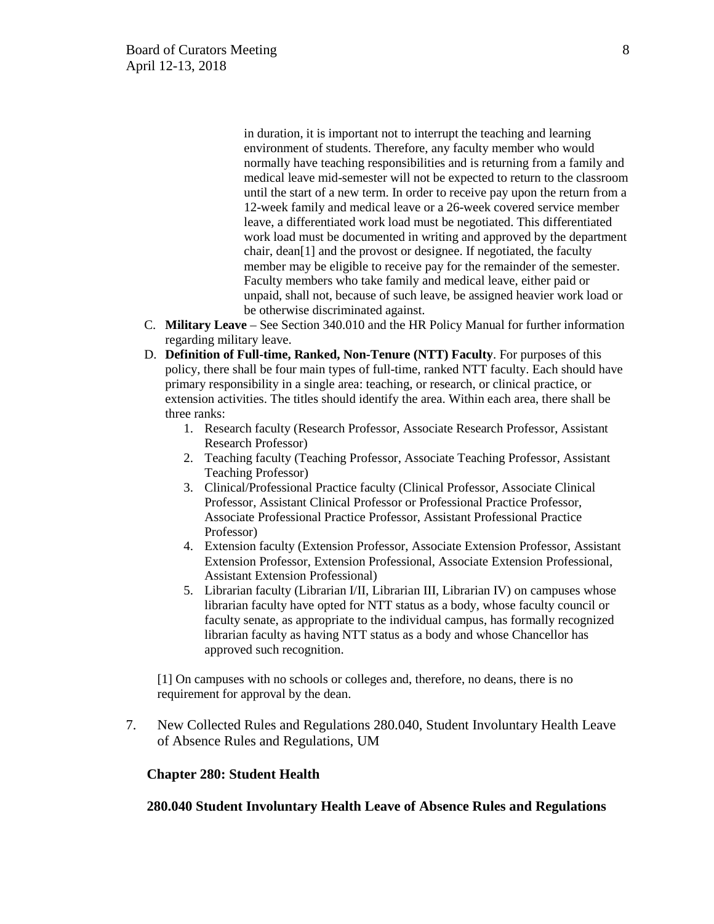in duration, it is important not to interrupt the teaching and learning environment of students. Therefore, any faculty member who would normally have teaching responsibilities and is returning from a family and medical leave mid-semester will not be expected to return to the classroom until the start of a new term. In order to receive pay upon the return from a 12-week family and medical leave or a 26-week covered service member leave, a differentiated work load must be negotiated. This differentiated work load must be documented in writing and approved by the department chair, dean[1] and the provost or designee. If negotiated, the faculty member may be eligible to receive pay for the remainder of the semester. Faculty members who take family and medical leave, either paid or unpaid, shall not, because of such leave, be assigned heavier work load or be otherwise discriminated against.

- C. **Military Leave** See Section 340.010 and the HR Policy Manual for further information regarding military leave.
- D. **Definition of Full-time, Ranked, Non-Tenure (NTT) Faculty**. For purposes of this policy, there shall be four main types of full-time, ranked NTT faculty. Each should have primary responsibility in a single area: teaching, or research, or clinical practice, or extension activities. The titles should identify the area. Within each area, there shall be three ranks:
	- 1. Research faculty (Research Professor, Associate Research Professor, Assistant Research Professor)
	- 2. Teaching faculty (Teaching Professor, Associate Teaching Professor, Assistant Teaching Professor)
	- 3. Clinical/Professional Practice faculty (Clinical Professor, Associate Clinical Professor, Assistant Clinical Professor or Professional Practice Professor, Associate Professional Practice Professor, Assistant Professional Practice Professor)
	- 4. Extension faculty (Extension Professor, Associate Extension Professor, Assistant Extension Professor, Extension Professional, Associate Extension Professional, Assistant Extension Professional)
	- 5. Librarian faculty (Librarian I/II, Librarian III, Librarian IV) on campuses whose librarian faculty have opted for NTT status as a body, whose faculty council or faculty senate, as appropriate to the individual campus, has formally recognized librarian faculty as having NTT status as a body and whose Chancellor has approved such recognition.

[1] On campuses with no schools or colleges and, therefore, no deans, there is no requirement for approval by the dean.

7. New Collected Rules and Regulations 280.040, Student Involuntary Health Leave of Absence Rules and Regulations, UM

### **Chapter 280: Student Health**

**280.040 Student Involuntary Health Leave of Absence Rules and Regulations**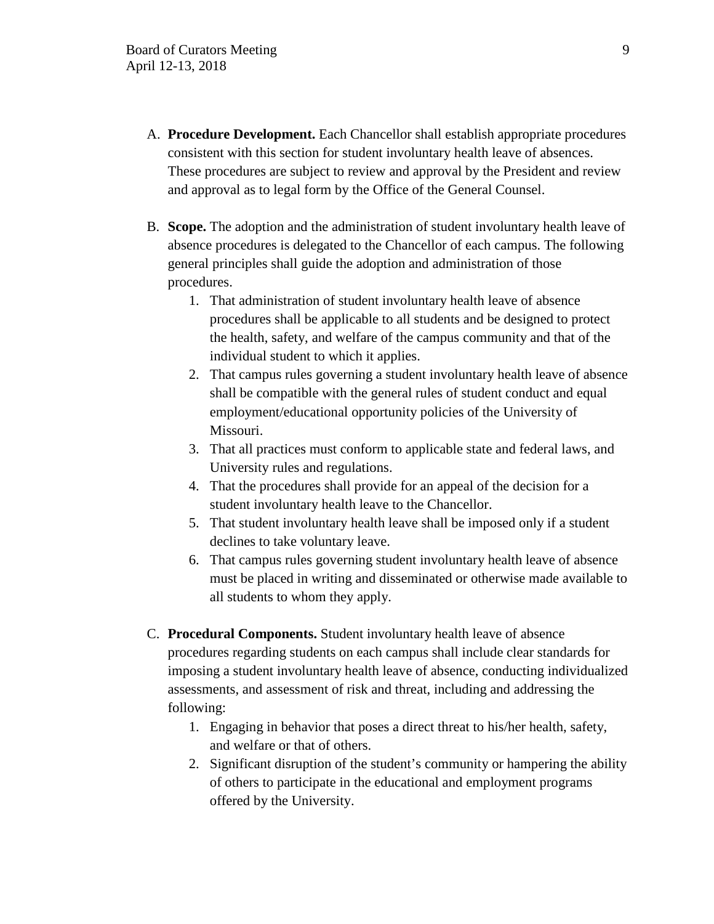- A. **Procedure Development.** Each Chancellor shall establish appropriate procedures consistent with this section for student involuntary health leave of absences. These procedures are subject to review and approval by the President and review and approval as to legal form by the Office of the General Counsel.
- B. **Scope.** The adoption and the administration of student involuntary health leave of absence procedures is delegated to the Chancellor of each campus. The following general principles shall guide the adoption and administration of those procedures.
	- 1. That administration of student involuntary health leave of absence procedures shall be applicable to all students and be designed to protect the health, safety, and welfare of the campus community and that of the individual student to which it applies.
	- 2. That campus rules governing a student involuntary health leave of absence shall be compatible with the general rules of student conduct and equal employment/educational opportunity policies of the University of Missouri.
	- 3. That all practices must conform to applicable state and federal laws, and University rules and regulations.
	- 4. That the procedures shall provide for an appeal of the decision for a student involuntary health leave to the Chancellor.
	- 5. That student involuntary health leave shall be imposed only if a student declines to take voluntary leave.
	- 6. That campus rules governing student involuntary health leave of absence must be placed in writing and disseminated or otherwise made available to all students to whom they apply.
- C. **Procedural Components.** Student involuntary health leave of absence procedures regarding students on each campus shall include clear standards for imposing a student involuntary health leave of absence, conducting individualized assessments, and assessment of risk and threat, including and addressing the following:
	- 1. Engaging in behavior that poses a direct threat to his/her health, safety, and welfare or that of others.
	- 2. Significant disruption of the student's community or hampering the ability of others to participate in the educational and employment programs offered by the University.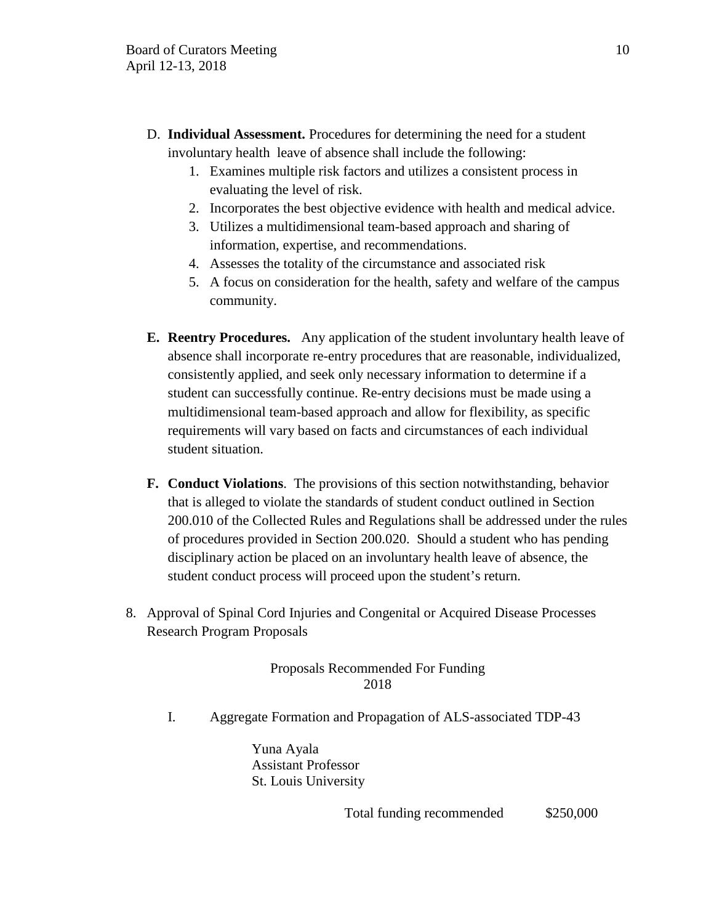- D. **Individual Assessment.** Procedures for determining the need for a student involuntary health leave of absence shall include the following:
	- 1. Examines multiple risk factors and utilizes a consistent process in evaluating the level of risk.
	- 2. Incorporates the best objective evidence with health and medical advice.
	- 3. Utilizes a multidimensional team-based approach and sharing of information, expertise, and recommendations.
	- 4. Assesses the totality of the circumstance and associated risk
	- 5. A focus on consideration for the health, safety and welfare of the campus community.
- **E. Reentry Procedures.** Any application of the student involuntary health leave of absence shall incorporate re-entry procedures that are reasonable, individualized, consistently applied, and seek only necessary information to determine if a student can successfully continue. Re-entry decisions must be made using a multidimensional team-based approach and allow for flexibility, as specific requirements will vary based on facts and circumstances of each individual student situation.
- **F. Conduct Violations**. The provisions of this section notwithstanding, behavior that is alleged to violate the standards of student conduct outlined in Section 200.010 of the Collected Rules and Regulations shall be addressed under the rules of procedures provided in Section 200.020. Should a student who has pending disciplinary action be placed on an involuntary health leave of absence, the student conduct process will proceed upon the student's return.
- 8. Approval of Spinal Cord Injuries and Congenital or Acquired Disease Processes Research Program Proposals

# Proposals Recommended For Funding 2018

I. Aggregate Formation and Propagation of ALS-associated TDP-43

Yuna Ayala Assistant Professor St. Louis University

Total funding recommended \$250,000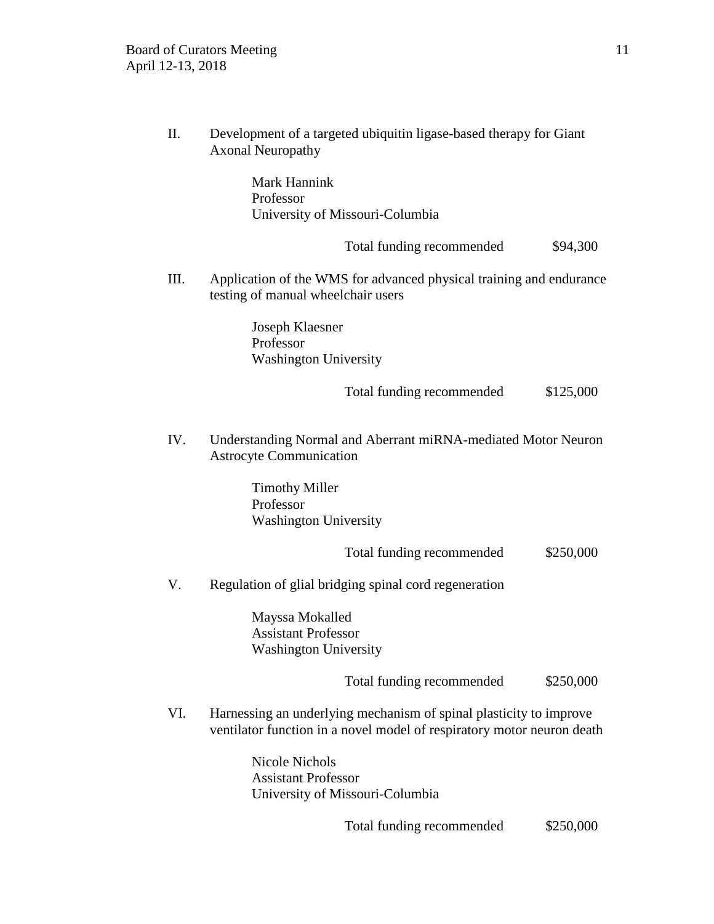II. Development of a targeted ubiquitin ligase-based therapy for Giant Axonal Neuropathy

> Mark Hannink Professor University of Missouri-Columbia

> > Total funding recommended  $$94,300$

III. Application of the WMS for advanced physical training and endurance testing of manual wheelchair users

> Joseph Klaesner Professor Washington University

> > Total funding recommended \$125,000

IV. Understanding Normal and Aberrant miRNA-mediated Motor Neuron Astrocyte Communication

> Timothy Miller Professor Washington University

> > Total funding recommended \$250,000

V. Regulation of glial bridging spinal cord regeneration

Mayssa Mokalled Assistant Professor Washington University

Total funding recommended \$250,000

VI. Harnessing an underlying mechanism of spinal plasticity to improve ventilator function in a novel model of respiratory motor neuron death

> Nicole Nichols Assistant Professor University of Missouri-Columbia

> > Total funding recommended \$250,000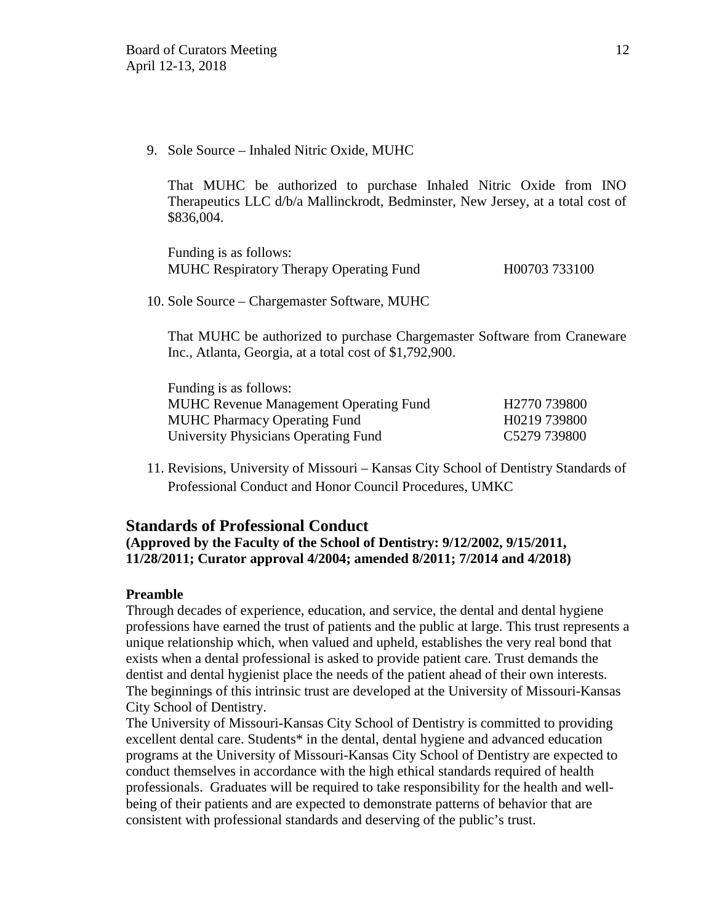9. Sole Source – Inhaled Nitric Oxide, MUHC

That MUHC be authorized to purchase Inhaled Nitric Oxide from INO Therapeutics LLC d/b/a Mallinckrodt, Bedminster, New Jersey, at a total cost of \$836,004.

Funding is as follows: MUHC Respiratory Therapy Operating Fund H00703 733100

10. Sole Source – Chargemaster Software, MUHC

That MUHC be authorized to purchase Chargemaster Software from Craneware Inc., Atlanta, Georgia, at a total cost of \$1,792,900.

| Funding is as follows:                        |                          |
|-----------------------------------------------|--------------------------|
| <b>MUHC Revenue Management Operating Fund</b> | H <sub>2770</sub> 739800 |
| <b>MUHC Pharmacy Operating Fund</b>           | H0219 739800             |
| University Physicians Operating Fund          | C5279 739800             |

11. Revisions, University of Missouri – Kansas City School of Dentistry Standards of Professional Conduct and Honor Council Procedures, UMKC

### **Standards of Professional Conduct**

# **(Approved by the Faculty of the School of Dentistry: 9/12/2002, 9/15/2011, 11/28/2011; Curator approval 4/2004; amended 8/2011; 7/2014 and 4/2018)**

### **Preamble**

Through decades of experience, education, and service, the dental and dental hygiene professions have earned the trust of patients and the public at large. This trust represents a unique relationship which, when valued and upheld, establishes the very real bond that exists when a dental professional is asked to provide patient care. Trust demands the dentist and dental hygienist place the needs of the patient ahead of their own interests. The beginnings of this intrinsic trust are developed at the University of Missouri-Kansas City School of Dentistry.

The University of Missouri-Kansas City School of Dentistry is committed to providing excellent dental care. Students\* in the dental, dental hygiene and advanced education programs at the University of Missouri-Kansas City School of Dentistry are expected to conduct themselves in accordance with the high ethical standards required of health professionals. Graduates will be required to take responsibility for the health and wellbeing of their patients and are expected to demonstrate patterns of behavior that are consistent with professional standards and deserving of the public's trust.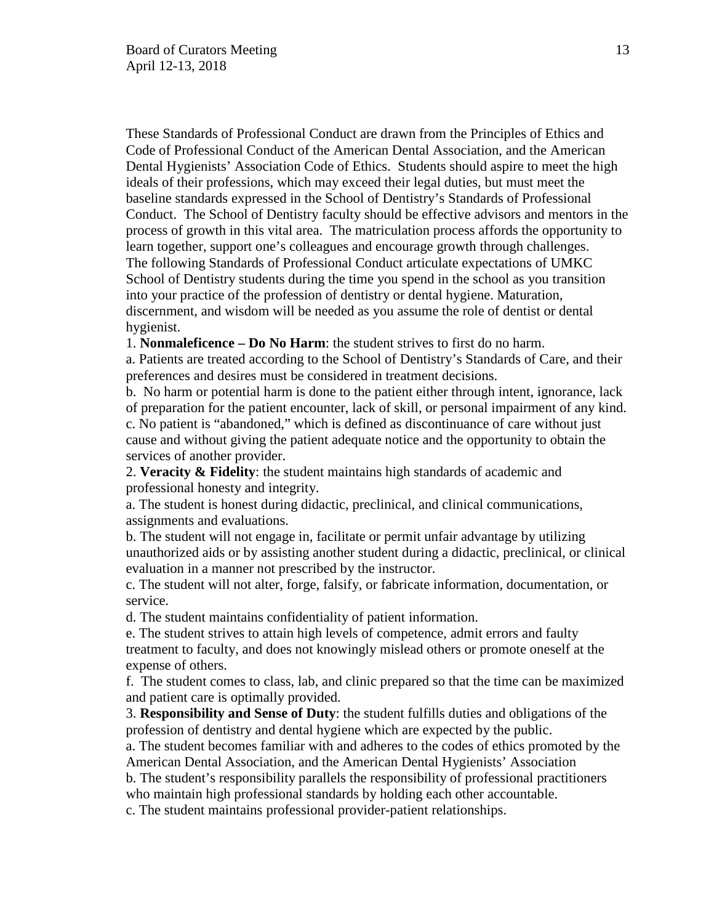These Standards of Professional Conduct are drawn from the Principles of Ethics and Code of Professional Conduct of the American Dental Association, and the American Dental Hygienists' Association Code of Ethics. Students should aspire to meet the high ideals of their professions, which may exceed their legal duties, but must meet the baseline standards expressed in the School of Dentistry's Standards of Professional Conduct. The School of Dentistry faculty should be effective advisors and mentors in the process of growth in this vital area. The matriculation process affords the opportunity to learn together, support one's colleagues and encourage growth through challenges. The following Standards of Professional Conduct articulate expectations of UMKC School of Dentistry students during the time you spend in the school as you transition into your practice of the profession of dentistry or dental hygiene. Maturation, discernment, and wisdom will be needed as you assume the role of dentist or dental hygienist.

1. **Nonmaleficence – Do No Harm**: the student strives to first do no harm.

a. Patients are treated according to the School of Dentistry's Standards of Care, and their preferences and desires must be considered in treatment decisions.

b. No harm or potential harm is done to the patient either through intent, ignorance, lack of preparation for the patient encounter, lack of skill, or personal impairment of any kind. c. No patient is "abandoned," which is defined as discontinuance of care without just cause and without giving the patient adequate notice and the opportunity to obtain the services of another provider.

2. **Veracity & Fidelity**: the student maintains high standards of academic and professional honesty and integrity.

a. The student is honest during didactic, preclinical, and clinical communications, assignments and evaluations.

b. The student will not engage in, facilitate or permit unfair advantage by utilizing unauthorized aids or by assisting another student during a didactic, preclinical, or clinical evaluation in a manner not prescribed by the instructor.

c. The student will not alter, forge, falsify, or fabricate information, documentation, or service.

d. The student maintains confidentiality of patient information.

e. The student strives to attain high levels of competence, admit errors and faulty treatment to faculty, and does not knowingly mislead others or promote oneself at the expense of others.

f. The student comes to class, lab, and clinic prepared so that the time can be maximized and patient care is optimally provided.

3. **Responsibility and Sense of Duty**: the student fulfills duties and obligations of the profession of dentistry and dental hygiene which are expected by the public.

a. The student becomes familiar with and adheres to the codes of ethics promoted by the American Dental Association, and the American Dental Hygienists' Association

b. The student's responsibility parallels the responsibility of professional practitioners who maintain high professional standards by holding each other accountable.

c. The student maintains professional provider-patient relationships.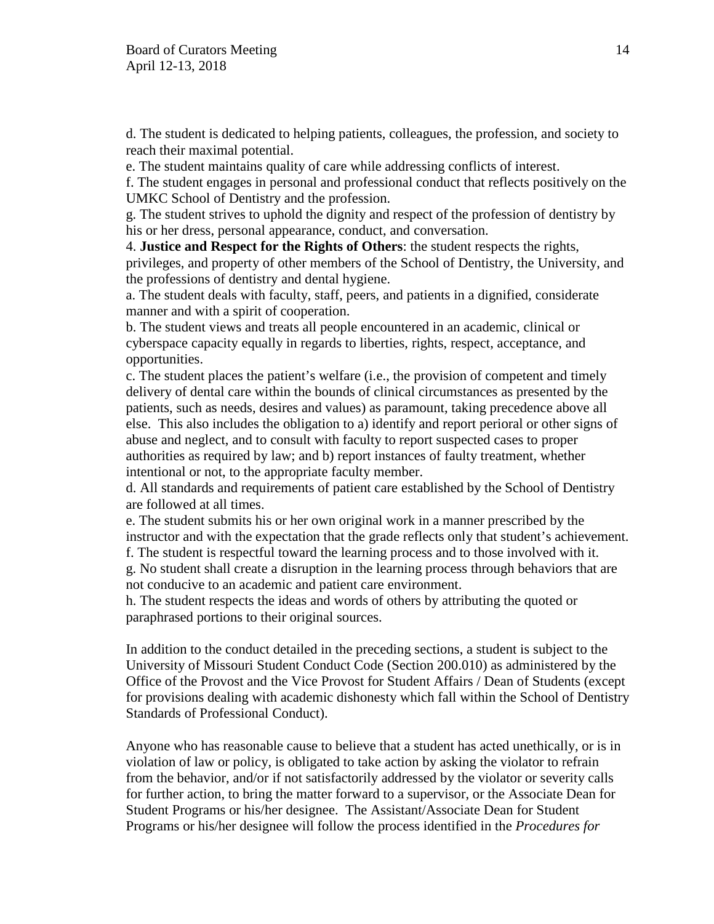d. The student is dedicated to helping patients, colleagues, the profession, and society to reach their maximal potential.

e. The student maintains quality of care while addressing conflicts of interest.

f. The student engages in personal and professional conduct that reflects positively on the UMKC School of Dentistry and the profession.

g. The student strives to uphold the dignity and respect of the profession of dentistry by his or her dress, personal appearance, conduct, and conversation.

4. **Justice and Respect for the Rights of Others**: the student respects the rights, privileges, and property of other members of the School of Dentistry, the University, and the professions of dentistry and dental hygiene.

a. The student deals with faculty, staff, peers, and patients in a dignified, considerate manner and with a spirit of cooperation.

b. The student views and treats all people encountered in an academic, clinical or cyberspace capacity equally in regards to liberties, rights, respect, acceptance, and opportunities.

c. The student places the patient's welfare (i.e., the provision of competent and timely delivery of dental care within the bounds of clinical circumstances as presented by the patients, such as needs, desires and values) as paramount, taking precedence above all else. This also includes the obligation to a) identify and report perioral or other signs of abuse and neglect, and to consult with faculty to report suspected cases to proper authorities as required by law; and b) report instances of faulty treatment, whether intentional or not, to the appropriate faculty member.

d. All standards and requirements of patient care established by the School of Dentistry are followed at all times.

e. The student submits his or her own original work in a manner prescribed by the instructor and with the expectation that the grade reflects only that student's achievement. f. The student is respectful toward the learning process and to those involved with it. g. No student shall create a disruption in the learning process through behaviors that are

not conducive to an academic and patient care environment.

h. The student respects the ideas and words of others by attributing the quoted or paraphrased portions to their original sources.

In addition to the conduct detailed in the preceding sections, a student is subject to the University of Missouri Student Conduct Code (Section 200.010) as administered by the Office of the Provost and the Vice Provost for Student Affairs / Dean of Students (except for provisions dealing with academic dishonesty which fall within the School of Dentistry Standards of Professional Conduct).

Anyone who has reasonable cause to believe that a student has acted unethically, or is in violation of law or policy, is obligated to take action by asking the violator to refrain from the behavior, and/or if not satisfactorily addressed by the violator or severity calls for further action, to bring the matter forward to a supervisor, or the Associate Dean for Student Programs or his/her designee. The Assistant/Associate Dean for Student Programs or his/her designee will follow the process identified in the *Procedures for*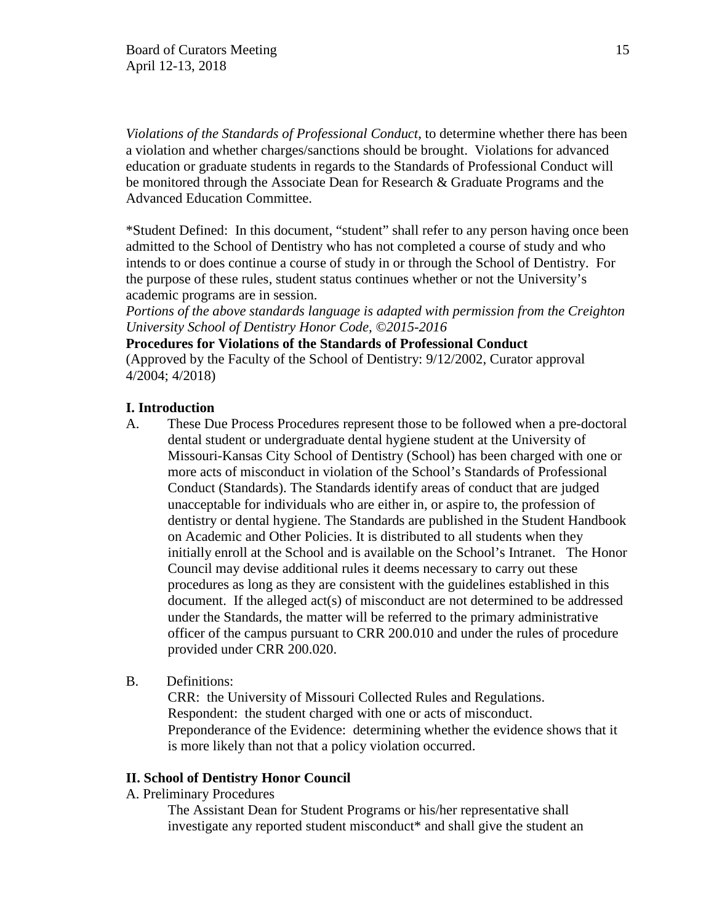*Violations of the Standards of Professional Conduct*, to determine whether there has been a violation and whether charges/sanctions should be brought. Violations for advanced education or graduate students in regards to the Standards of Professional Conduct will be monitored through the Associate Dean for Research & Graduate Programs and the Advanced Education Committee.

\*Student Defined: In this document, "student" shall refer to any person having once been admitted to the School of Dentistry who has not completed a course of study and who intends to or does continue a course of study in or through the School of Dentistry. For the purpose of these rules, student status continues whether or not the University's academic programs are in session.

*Portions of the above standards language is adapted with permission from the Creighton University School of Dentistry Honor Code, ©2015-2016*

# **Procedures for Violations of the Standards of Professional Conduct**

(Approved by the Faculty of the School of Dentistry: 9/12/2002, Curator approval 4/2004; 4/2018)

### **I. Introduction**

- A. These Due Process Procedures represent those to be followed when a pre-doctoral dental student or undergraduate dental hygiene student at the University of Missouri-Kansas City School of Dentistry (School) has been charged with one or more acts of misconduct in violation of the School's Standards of Professional Conduct (Standards). The Standards identify areas of conduct that are judged unacceptable for individuals who are either in, or aspire to, the profession of dentistry or dental hygiene. The Standards are published in the Student Handbook on Academic and Other Policies. It is distributed to all students when they initially enroll at the School and is available on the School's Intranet. The Honor Council may devise additional rules it deems necessary to carry out these procedures as long as they are consistent with the guidelines established in this document. If the alleged  $act(s)$  of misconduct are not determined to be addressed under the Standards, the matter will be referred to the primary administrative officer of the campus pursuant to CRR 200.010 and under the rules of procedure provided under CRR 200.020.
- B. Definitions:

CRR: the University of Missouri Collected Rules and Regulations. Respondent: the student charged with one or acts of misconduct. Preponderance of the Evidence: determining whether the evidence shows that it is more likely than not that a policy violation occurred.

### **II. School of Dentistry Honor Council**

A. Preliminary Procedures

The Assistant Dean for Student Programs or his/her representative shall investigate any reported student misconduct\* and shall give the student an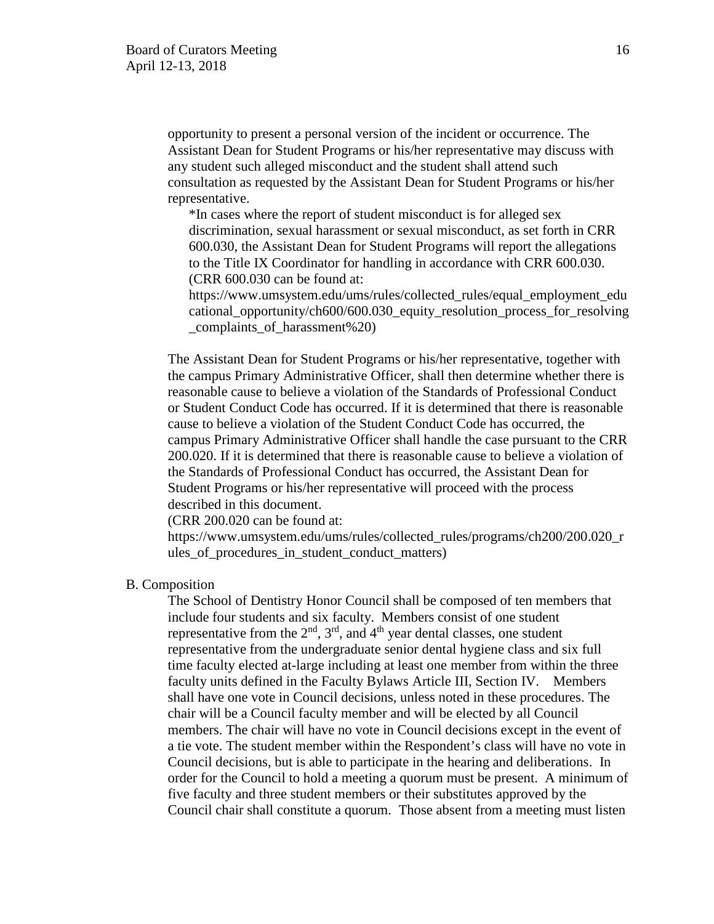opportunity to present a personal version of the incident or occurrence. The Assistant Dean for Student Programs or his/her representative may discuss with any student such alleged misconduct and the student shall attend such consultation as requested by the Assistant Dean for Student Programs or his/her representative.

\*In cases where the report of student misconduct is for alleged sex discrimination, sexual harassment or sexual misconduct, as set forth in CRR 600.030, the Assistant Dean for Student Programs will report the allegations to the Title IX Coordinator for handling in accordance with CRR 600.030. (CRR 600.030 can be found at:

https://www.umsystem.edu/ums/rules/collected\_rules/equal\_employment\_edu cational\_opportunity/ch600/600.030\_equity\_resolution\_process\_for\_resolving \_complaints\_of\_harassment%20)

The Assistant Dean for Student Programs or his/her representative, together with the campus Primary Administrative Officer, shall then determine whether there is reasonable cause to believe a violation of the Standards of Professional Conduct or Student Conduct Code has occurred. If it is determined that there is reasonable cause to believe a violation of the Student Conduct Code has occurred, the campus Primary Administrative Officer shall handle the case pursuant to the CRR 200.020. If it is determined that there is reasonable cause to believe a violation of the Standards of Professional Conduct has occurred, the Assistant Dean for Student Programs or his/her representative will proceed with the process described in this document.

(CRR 200.020 can be found at:

https://www.umsystem.edu/ums/rules/collected\_rules/programs/ch200/200.020\_r ules of procedures in student conduct matters)

#### B. Composition

The School of Dentistry Honor Council shall be composed of ten members that include four students and six faculty. Members consist of one student representative from the  $2<sup>nd</sup>$ ,  $3<sup>rd</sup>$ , and  $4<sup>th</sup>$  year dental classes, one student representative from the undergraduate senior dental hygiene class and six full time faculty elected at-large including at least one member from within the three faculty units defined in the Faculty Bylaws Article III, Section IV. Members shall have one vote in Council decisions, unless noted in these procedures. The chair will be a Council faculty member and will be elected by all Council members. The chair will have no vote in Council decisions except in the event of a tie vote. The student member within the Respondent's class will have no vote in Council decisions, but is able to participate in the hearing and deliberations. In order for the Council to hold a meeting a quorum must be present. A minimum of five faculty and three student members or their substitutes approved by the Council chair shall constitute a quorum. Those absent from a meeting must listen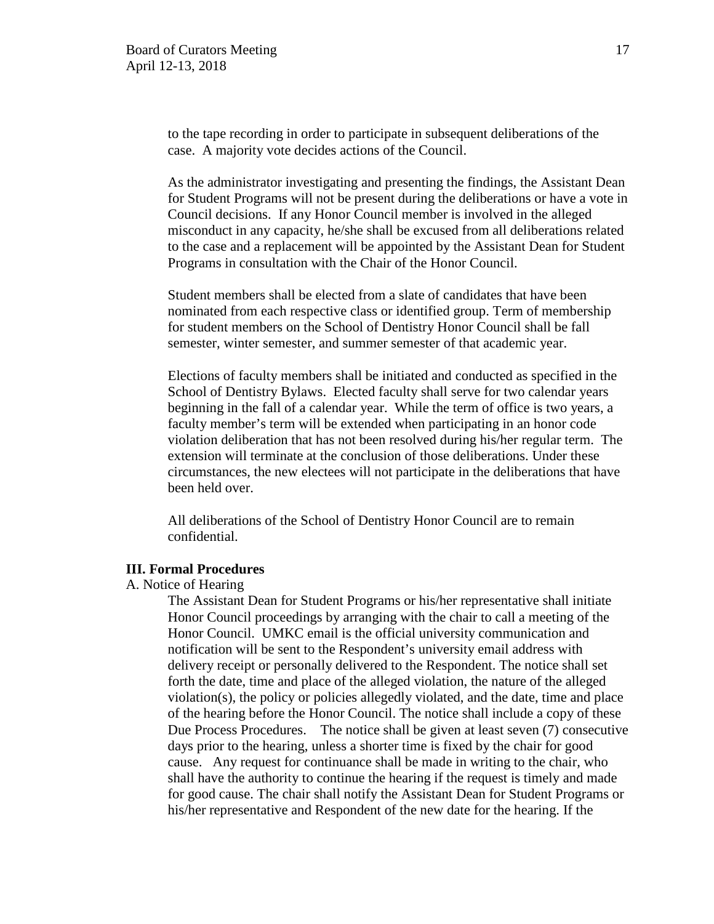to the tape recording in order to participate in subsequent deliberations of the case. A majority vote decides actions of the Council.

As the administrator investigating and presenting the findings, the Assistant Dean for Student Programs will not be present during the deliberations or have a vote in Council decisions. If any Honor Council member is involved in the alleged misconduct in any capacity, he/she shall be excused from all deliberations related to the case and a replacement will be appointed by the Assistant Dean for Student Programs in consultation with the Chair of the Honor Council.

Student members shall be elected from a slate of candidates that have been nominated from each respective class or identified group. Term of membership for student members on the School of Dentistry Honor Council shall be fall semester, winter semester, and summer semester of that academic year.

Elections of faculty members shall be initiated and conducted as specified in the School of Dentistry Bylaws. Elected faculty shall serve for two calendar years beginning in the fall of a calendar year. While the term of office is two years, a faculty member's term will be extended when participating in an honor code violation deliberation that has not been resolved during his/her regular term. The extension will terminate at the conclusion of those deliberations. Under these circumstances, the new electees will not participate in the deliberations that have been held over.

All deliberations of the School of Dentistry Honor Council are to remain confidential.

### **III. Formal Procedures**

### A. Notice of Hearing

The Assistant Dean for Student Programs or his/her representative shall initiate Honor Council proceedings by arranging with the chair to call a meeting of the Honor Council. UMKC email is the official university communication and notification will be sent to the Respondent's university email address with delivery receipt or personally delivered to the Respondent. The notice shall set forth the date, time and place of the alleged violation, the nature of the alleged violation(s), the policy or policies allegedly violated, and the date, time and place of the hearing before the Honor Council. The notice shall include a copy of these Due Process Procedures. The notice shall be given at least seven (7) consecutive days prior to the hearing, unless a shorter time is fixed by the chair for good cause. Any request for continuance shall be made in writing to the chair, who shall have the authority to continue the hearing if the request is timely and made for good cause. The chair shall notify the Assistant Dean for Student Programs or his/her representative and Respondent of the new date for the hearing. If the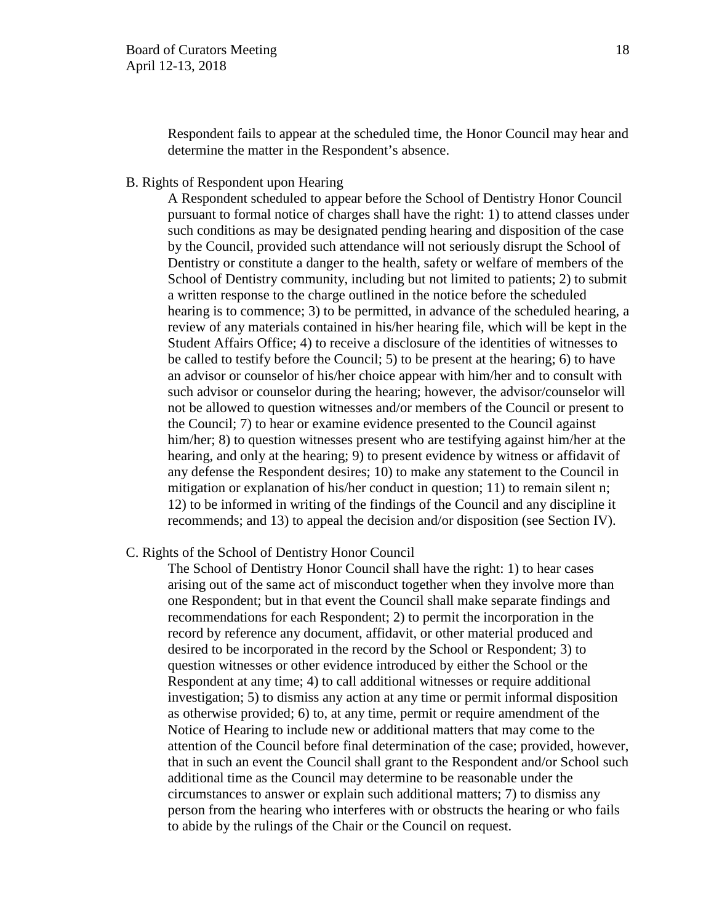Respondent fails to appear at the scheduled time, the Honor Council may hear and determine the matter in the Respondent's absence.

B. Rights of Respondent upon Hearing

A Respondent scheduled to appear before the School of Dentistry Honor Council pursuant to formal notice of charges shall have the right: 1) to attend classes under such conditions as may be designated pending hearing and disposition of the case by the Council, provided such attendance will not seriously disrupt the School of Dentistry or constitute a danger to the health, safety or welfare of members of the School of Dentistry community, including but not limited to patients; 2) to submit a written response to the charge outlined in the notice before the scheduled hearing is to commence; 3) to be permitted, in advance of the scheduled hearing, a review of any materials contained in his/her hearing file, which will be kept in the Student Affairs Office; 4) to receive a disclosure of the identities of witnesses to be called to testify before the Council; 5) to be present at the hearing; 6) to have an advisor or counselor of his/her choice appear with him/her and to consult with such advisor or counselor during the hearing; however, the advisor/counselor will not be allowed to question witnesses and/or members of the Council or present to the Council; 7) to hear or examine evidence presented to the Council against him/her; 8) to question witnesses present who are testifying against him/her at the hearing, and only at the hearing; 9) to present evidence by witness or affidavit of any defense the Respondent desires; 10) to make any statement to the Council in mitigation or explanation of his/her conduct in question; 11) to remain silent n; 12) to be informed in writing of the findings of the Council and any discipline it recommends; and 13) to appeal the decision and/or disposition (see Section IV).

C. Rights of the School of Dentistry Honor Council

The School of Dentistry Honor Council shall have the right: 1) to hear cases arising out of the same act of misconduct together when they involve more than one Respondent; but in that event the Council shall make separate findings and recommendations for each Respondent; 2) to permit the incorporation in the record by reference any document, affidavit, or other material produced and desired to be incorporated in the record by the School or Respondent; 3) to question witnesses or other evidence introduced by either the School or the Respondent at any time; 4) to call additional witnesses or require additional investigation; 5) to dismiss any action at any time or permit informal disposition as otherwise provided; 6) to, at any time, permit or require amendment of the Notice of Hearing to include new or additional matters that may come to the attention of the Council before final determination of the case; provided, however, that in such an event the Council shall grant to the Respondent and/or School such additional time as the Council may determine to be reasonable under the circumstances to answer or explain such additional matters; 7) to dismiss any person from the hearing who interferes with or obstructs the hearing or who fails to abide by the rulings of the Chair or the Council on request.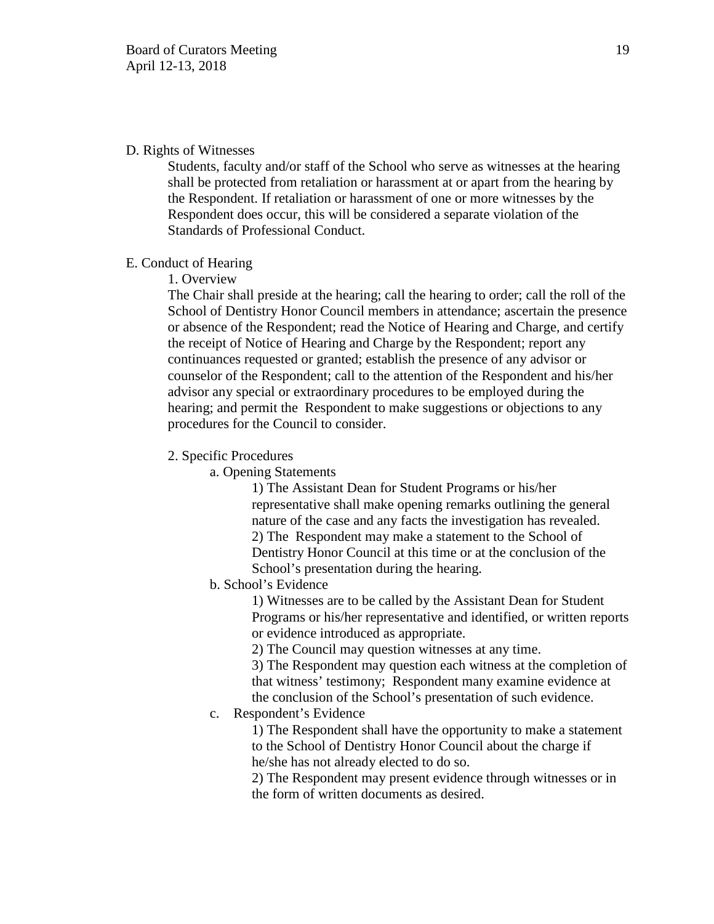### D. Rights of Witnesses

Students, faculty and/or staff of the School who serve as witnesses at the hearing shall be protected from retaliation or harassment at or apart from the hearing by the Respondent. If retaliation or harassment of one or more witnesses by the Respondent does occur, this will be considered a separate violation of the Standards of Professional Conduct.

### E. Conduct of Hearing

1. Overview

The Chair shall preside at the hearing; call the hearing to order; call the roll of the School of Dentistry Honor Council members in attendance; ascertain the presence or absence of the Respondent; read the Notice of Hearing and Charge, and certify the receipt of Notice of Hearing and Charge by the Respondent; report any continuances requested or granted; establish the presence of any advisor or counselor of the Respondent; call to the attention of the Respondent and his/her advisor any special or extraordinary procedures to be employed during the hearing; and permit the Respondent to make suggestions or objections to any procedures for the Council to consider.

2. Specific Procedures

a. Opening Statements

1) The Assistant Dean for Student Programs or his/her representative shall make opening remarks outlining the general nature of the case and any facts the investigation has revealed. 2) The Respondent may make a statement to the School of Dentistry Honor Council at this time or at the conclusion of the School's presentation during the hearing.

b. School's Evidence

1) Witnesses are to be called by the Assistant Dean for Student Programs or his/her representative and identified, or written reports or evidence introduced as appropriate.

2) The Council may question witnesses at any time.

3) The Respondent may question each witness at the completion of that witness' testimony; Respondent many examine evidence at the conclusion of the School's presentation of such evidence.

c. Respondent's Evidence

1) The Respondent shall have the opportunity to make a statement to the School of Dentistry Honor Council about the charge if he/she has not already elected to do so.

2) The Respondent may present evidence through witnesses or in the form of written documents as desired.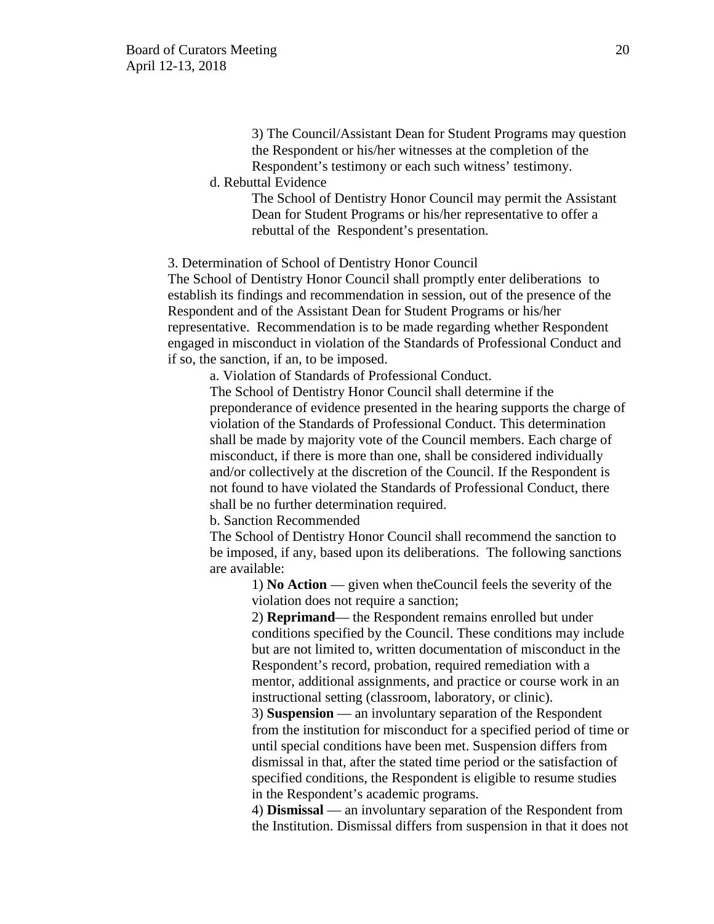3) The Council/Assistant Dean for Student Programs may question the Respondent or his/her witnesses at the completion of the Respondent's testimony or each such witness' testimony.

d. Rebuttal Evidence

The School of Dentistry Honor Council may permit the Assistant Dean for Student Programs or his/her representative to offer a rebuttal of the Respondent's presentation.

3. Determination of School of Dentistry Honor Council

The School of Dentistry Honor Council shall promptly enter deliberations to establish its findings and recommendation in session, out of the presence of the Respondent and of the Assistant Dean for Student Programs or his/her representative. Recommendation is to be made regarding whether Respondent engaged in misconduct in violation of the Standards of Professional Conduct and if so, the sanction, if an, to be imposed.

a. Violation of Standards of Professional Conduct.

The School of Dentistry Honor Council shall determine if the preponderance of evidence presented in the hearing supports the charge of violation of the Standards of Professional Conduct. This determination shall be made by majority vote of the Council members. Each charge of misconduct, if there is more than one, shall be considered individually and/or collectively at the discretion of the Council. If the Respondent is not found to have violated the Standards of Professional Conduct, there shall be no further determination required.

b. Sanction Recommended

The School of Dentistry Honor Council shall recommend the sanction to be imposed, if any, based upon its deliberations. The following sanctions are available:

1) **No Action** — given when theCouncil feels the severity of the violation does not require a sanction;

2) **Reprimand**— the Respondent remains enrolled but under conditions specified by the Council. These conditions may include but are not limited to, written documentation of misconduct in the Respondent's record, probation, required remediation with a mentor, additional assignments, and practice or course work in an instructional setting (classroom, laboratory, or clinic).

3) **Suspension** — an involuntary separation of the Respondent from the institution for misconduct for a specified period of time or until special conditions have been met. Suspension differs from dismissal in that, after the stated time period or the satisfaction of specified conditions, the Respondent is eligible to resume studies in the Respondent's academic programs.

4) **Dismissal** — an involuntary separation of the Respondent from the Institution. Dismissal differs from suspension in that it does not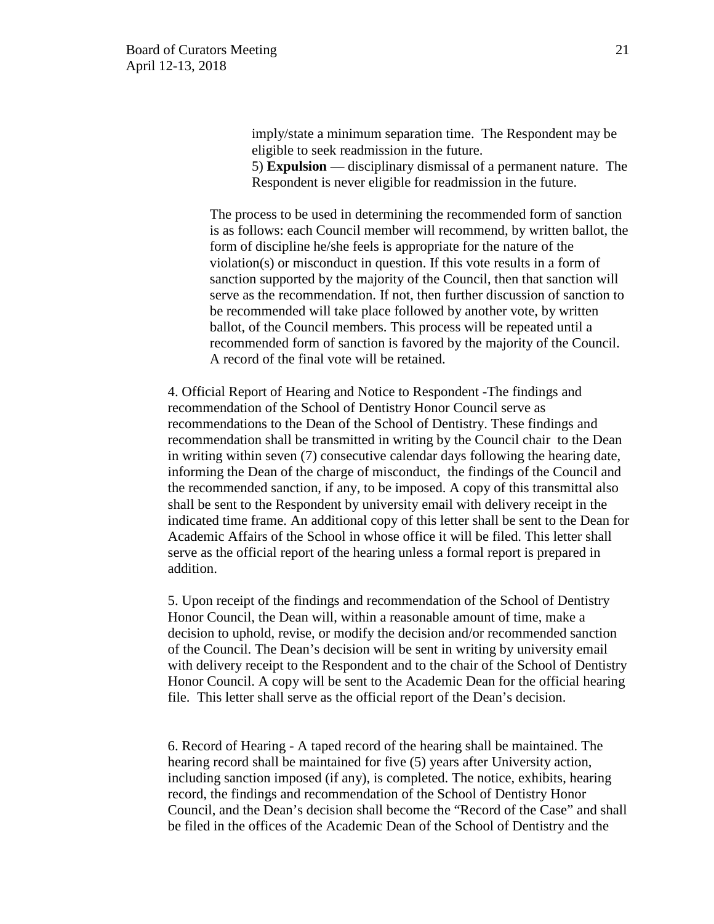imply/state a minimum separation time. The Respondent may be eligible to seek readmission in the future.

5) **Expulsion** — disciplinary dismissal of a permanent nature. The Respondent is never eligible for readmission in the future.

The process to be used in determining the recommended form of sanction is as follows: each Council member will recommend, by written ballot, the form of discipline he/she feels is appropriate for the nature of the violation(s) or misconduct in question. If this vote results in a form of sanction supported by the majority of the Council, then that sanction will serve as the recommendation. If not, then further discussion of sanction to be recommended will take place followed by another vote, by written ballot, of the Council members. This process will be repeated until a recommended form of sanction is favored by the majority of the Council. A record of the final vote will be retained.

4. Official Report of Hearing and Notice to Respondent -The findings and recommendation of the School of Dentistry Honor Council serve as recommendations to the Dean of the School of Dentistry. These findings and recommendation shall be transmitted in writing by the Council chair to the Dean in writing within seven (7) consecutive calendar days following the hearing date, informing the Dean of the charge of misconduct, the findings of the Council and the recommended sanction, if any, to be imposed. A copy of this transmittal also shall be sent to the Respondent by university email with delivery receipt in the indicated time frame. An additional copy of this letter shall be sent to the Dean for Academic Affairs of the School in whose office it will be filed. This letter shall serve as the official report of the hearing unless a formal report is prepared in addition.

5. Upon receipt of the findings and recommendation of the School of Dentistry Honor Council, the Dean will, within a reasonable amount of time, make a decision to uphold, revise, or modify the decision and/or recommended sanction of the Council. The Dean's decision will be sent in writing by university email with delivery receipt to the Respondent and to the chair of the School of Dentistry Honor Council. A copy will be sent to the Academic Dean for the official hearing file. This letter shall serve as the official report of the Dean's decision.

6. Record of Hearing - A taped record of the hearing shall be maintained. The hearing record shall be maintained for five (5) years after University action, including sanction imposed (if any), is completed. The notice, exhibits, hearing record, the findings and recommendation of the School of Dentistry Honor Council, and the Dean's decision shall become the "Record of the Case" and shall be filed in the offices of the Academic Dean of the School of Dentistry and the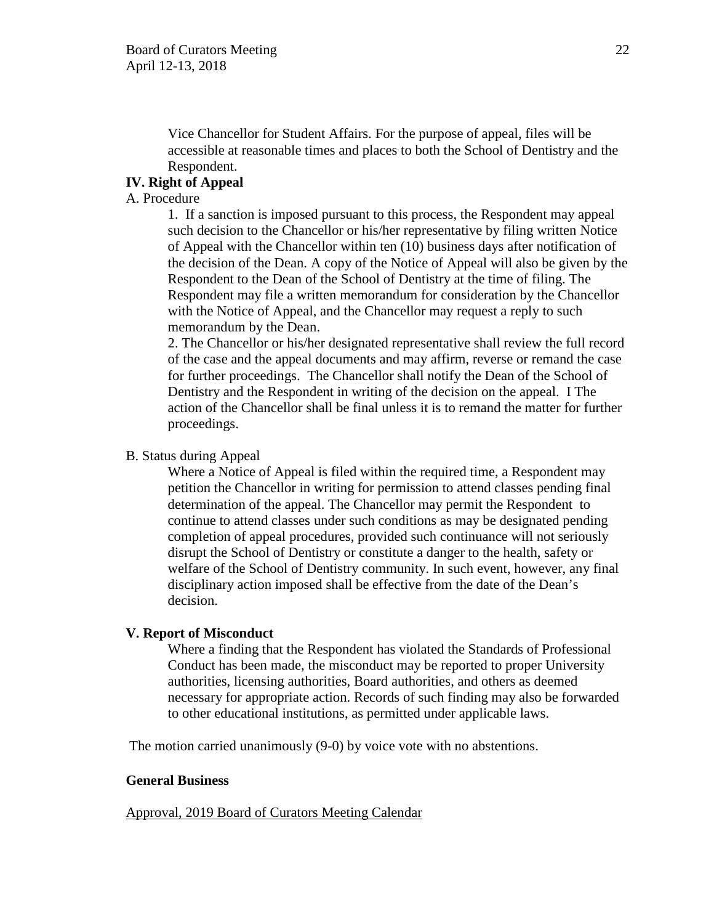Vice Chancellor for Student Affairs. For the purpose of appeal, files will be accessible at reasonable times and places to both the School of Dentistry and the Respondent.

# **IV. Right of Appeal**

### A. Procedure

1. If a sanction is imposed pursuant to this process, the Respondent may appeal such decision to the Chancellor or his/her representative by filing written Notice of Appeal with the Chancellor within ten (10) business days after notification of the decision of the Dean. A copy of the Notice of Appeal will also be given by the Respondent to the Dean of the School of Dentistry at the time of filing. The Respondent may file a written memorandum for consideration by the Chancellor with the Notice of Appeal, and the Chancellor may request a reply to such memorandum by the Dean.

2. The Chancellor or his/her designated representative shall review the full record of the case and the appeal documents and may affirm, reverse or remand the case for further proceedings. The Chancellor shall notify the Dean of the School of Dentistry and the Respondent in writing of the decision on the appeal. I The action of the Chancellor shall be final unless it is to remand the matter for further proceedings.

### B. Status during Appeal

Where a Notice of Appeal is filed within the required time, a Respondent may petition the Chancellor in writing for permission to attend classes pending final determination of the appeal. The Chancellor may permit the Respondent to continue to attend classes under such conditions as may be designated pending completion of appeal procedures, provided such continuance will not seriously disrupt the School of Dentistry or constitute a danger to the health, safety or welfare of the School of Dentistry community. In such event, however, any final disciplinary action imposed shall be effective from the date of the Dean's decision.

#### **V. Report of Misconduct**

Where a finding that the Respondent has violated the Standards of Professional Conduct has been made, the misconduct may be reported to proper University authorities, licensing authorities, Board authorities, and others as deemed necessary for appropriate action. Records of such finding may also be forwarded to other educational institutions, as permitted under applicable laws.

The motion carried unanimously (9-0) by voice vote with no abstentions.

#### **General Business**

Approval, 2019 Board of Curators Meeting Calendar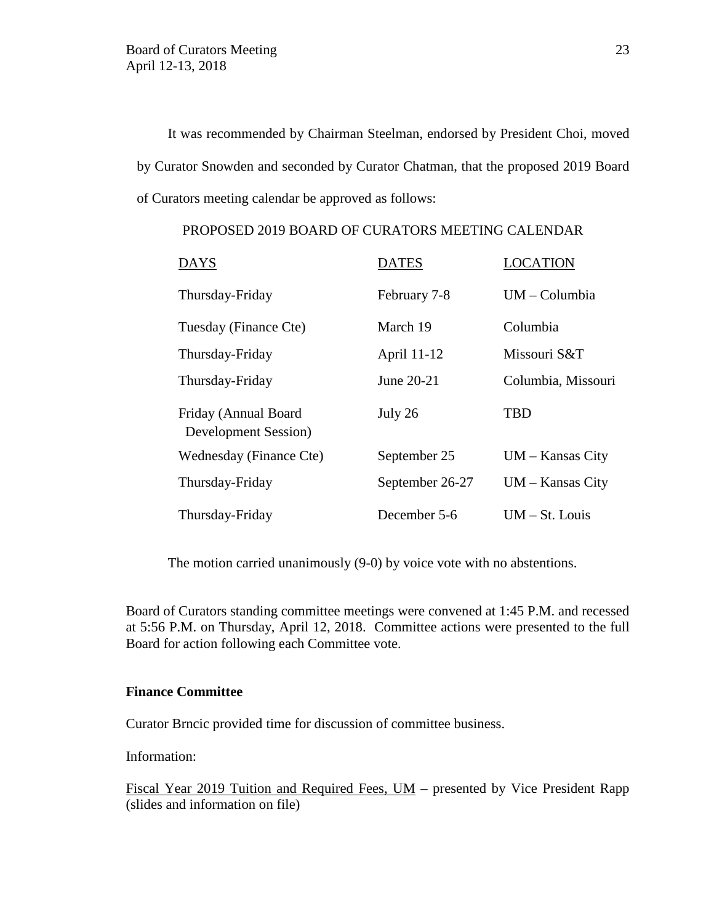It was recommended by Chairman Steelman, endorsed by President Choi, moved by Curator Snowden and seconded by Curator Chatman, that the proposed 2019 Board of Curators meeting calendar be approved as follows:

| <b>DAYS</b>                                  | <b>DATES</b>    | LOCATION           |
|----------------------------------------------|-----------------|--------------------|
| Thursday-Friday                              | February 7-8    | $UM - Columbia$    |
| Tuesday (Finance Cte)                        | March 19        | Columbia           |
| Thursday-Friday                              | April 11-12     | Missouri S&T       |
| Thursday-Friday                              | June 20-21      | Columbia, Missouri |
| Friday (Annual Board<br>Development Session) | July 26         | <b>TBD</b>         |
| Wednesday (Finance Cte)                      | September 25    | $UM - Kansas City$ |
| Thursday-Friday                              | September 26-27 | $UM - Kansas City$ |
| Thursday-Friday                              | December 5-6    | $UM - St. Louis$   |

# PROPOSED 2019 BOARD OF CURATORS MEETING CALENDAR

The motion carried unanimously (9-0) by voice vote with no abstentions.

Board of Curators standing committee meetings were convened at 1:45 P.M. and recessed at 5:56 P.M. on Thursday, April 12, 2018. Committee actions were presented to the full Board for action following each Committee vote.

### **Finance Committee**

Curator Brncic provided time for discussion of committee business.

Information:

Fiscal Year 2019 Tuition and Required Fees, UM – presented by Vice President Rapp (slides and information on file)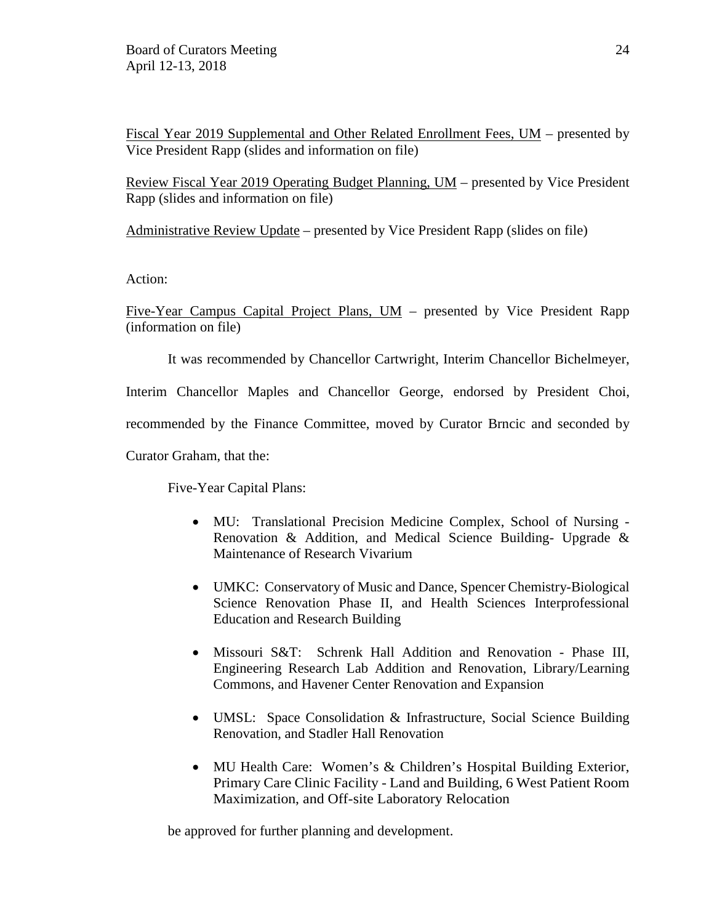Fiscal Year 2019 Supplemental and Other Related Enrollment Fees, UM – presented by Vice President Rapp (slides and information on file)

Review Fiscal Year 2019 Operating Budget Planning, UM – presented by Vice President Rapp (slides and information on file)

Administrative Review Update – presented by Vice President Rapp (slides on file)

Action:

Five-Year Campus Capital Project Plans, UM – presented by Vice President Rapp (information on file)

It was recommended by Chancellor Cartwright, Interim Chancellor Bichelmeyer,

Interim Chancellor Maples and Chancellor George, endorsed by President Choi,

recommended by the Finance Committee, moved by Curator Brncic and seconded by

Curator Graham, that the:

Five-Year Capital Plans:

- MU: Translational Precision Medicine Complex, School of Nursing Renovation & Addition, and Medical Science Building- Upgrade & Maintenance of Research Vivarium
- UMKC: Conservatory of Music and Dance, Spencer Chemistry-Biological Science Renovation Phase II, and Health Sciences Interprofessional Education and Research Building
- Missouri S&T: Schrenk Hall Addition and Renovation Phase III, Engineering Research Lab Addition and Renovation, Library/Learning Commons, and Havener Center Renovation and Expansion
- UMSL: Space Consolidation & Infrastructure, Social Science Building Renovation, and Stadler Hall Renovation
- MU Health Care: Women's & Children's Hospital Building Exterior, Primary Care Clinic Facility - Land and Building, 6 West Patient Room Maximization, and Off-site Laboratory Relocation

be approved for further planning and development.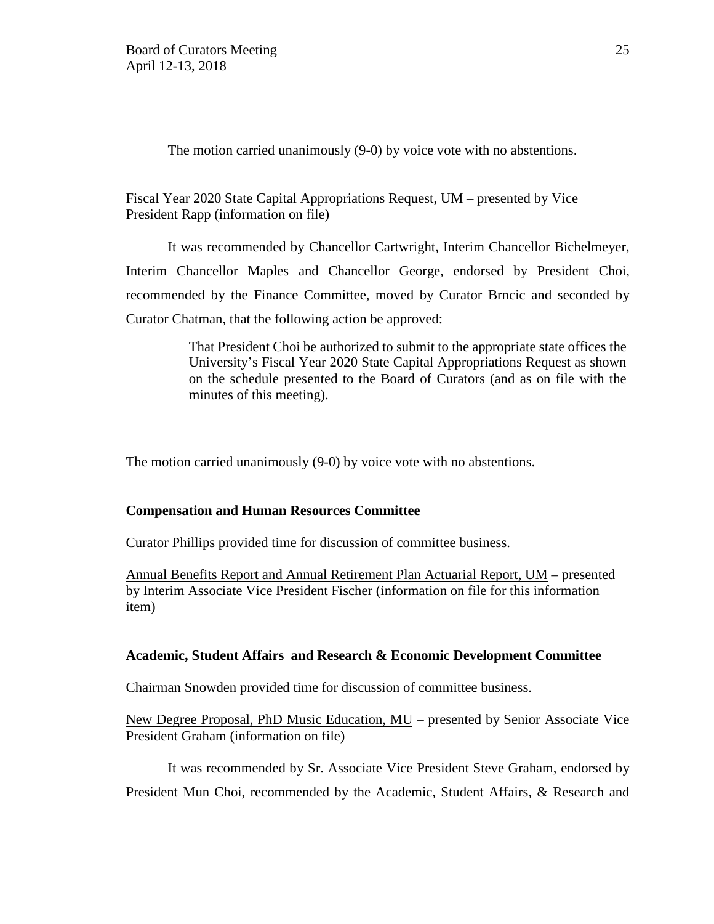The motion carried unanimously (9-0) by voice vote with no abstentions.

### Fiscal Year 2020 State Capital Appropriations Request, UM – presented by Vice President Rapp (information on file)

It was recommended by Chancellor Cartwright, Interim Chancellor Bichelmeyer, Interim Chancellor Maples and Chancellor George, endorsed by President Choi, recommended by the Finance Committee, moved by Curator Brncic and seconded by Curator Chatman, that the following action be approved:

> That President Choi be authorized to submit to the appropriate state offices the University's Fiscal Year 2020 State Capital Appropriations Request as shown on the schedule presented to the Board of Curators (and as on file with the minutes of this meeting).

The motion carried unanimously (9-0) by voice vote with no abstentions.

### **Compensation and Human Resources Committee**

Curator Phillips provided time for discussion of committee business.

Annual Benefits Report and Annual Retirement Plan Actuarial Report, UM – presented by Interim Associate Vice President Fischer (information on file for this information item)

### **Academic, Student Affairs and Research & Economic Development Committee**

Chairman Snowden provided time for discussion of committee business.

New Degree Proposal, PhD Music Education, MU – presented by Senior Associate Vice President Graham (information on file)

It was recommended by Sr. Associate Vice President Steve Graham, endorsed by President Mun Choi, recommended by the Academic, Student Affairs, & Research and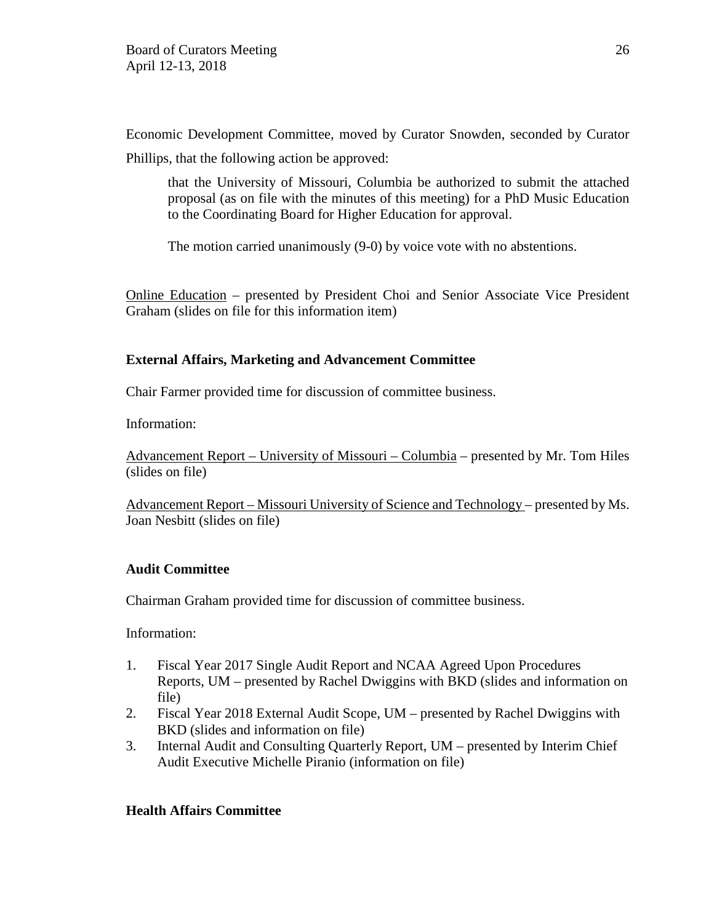Economic Development Committee, moved by Curator Snowden, seconded by Curator Phillips, that the following action be approved:

that the University of Missouri, Columbia be authorized to submit the attached proposal (as on file with the minutes of this meeting) for a PhD Music Education to the Coordinating Board for Higher Education for approval.

The motion carried unanimously (9-0) by voice vote with no abstentions.

Online Education – presented by President Choi and Senior Associate Vice President Graham (slides on file for this information item)

# **External Affairs, Marketing and Advancement Committee**

Chair Farmer provided time for discussion of committee business.

Information:

Advancement Report – University of Missouri – Columbia – presented by Mr. Tom Hiles (slides on file)

Advancement Report – Missouri University of Science and Technology – presented by Ms. Joan Nesbitt (slides on file)

### **Audit Committee**

Chairman Graham provided time for discussion of committee business.

Information:

- 1. Fiscal Year 2017 Single Audit Report and NCAA Agreed Upon Procedures Reports, UM – presented by Rachel Dwiggins with BKD (slides and information on file)
- 2. Fiscal Year 2018 External Audit Scope, UM presented by Rachel Dwiggins with BKD (slides and information on file)
- 3. Internal Audit and Consulting Quarterly Report, UM presented by Interim Chief Audit Executive Michelle Piranio (information on file)

### **Health Affairs Committee**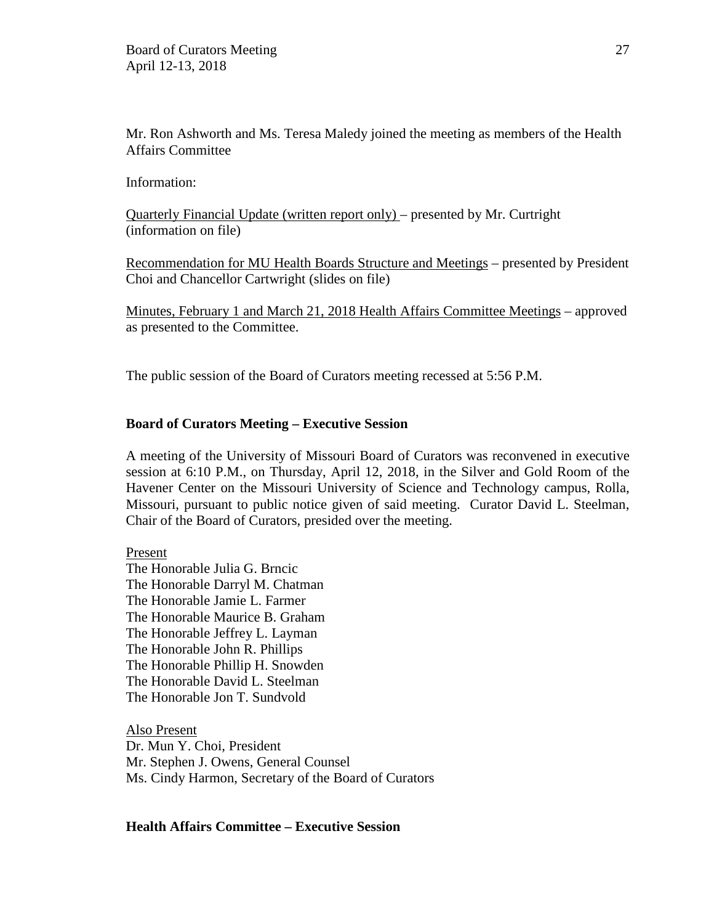Mr. Ron Ashworth and Ms. Teresa Maledy joined the meeting as members of the Health Affairs Committee

Information:

Quarterly Financial Update (written report only) – presented by Mr. Curtright (information on file)

Recommendation for MU Health Boards Structure and Meetings – presented by President Choi and Chancellor Cartwright (slides on file)

Minutes, February 1 and March 21, 2018 Health Affairs Committee Meetings – approved as presented to the Committee.

The public session of the Board of Curators meeting recessed at 5:56 P.M.

#### **Board of Curators Meeting – Executive Session**

A meeting of the University of Missouri Board of Curators was reconvened in executive session at 6:10 P.M., on Thursday, April 12, 2018, in the Silver and Gold Room of the Havener Center on the Missouri University of Science and Technology campus, Rolla, Missouri, pursuant to public notice given of said meeting. Curator David L. Steelman, Chair of the Board of Curators, presided over the meeting.

Present

The Honorable Julia G. Brncic The Honorable Darryl M. Chatman The Honorable Jamie L. Farmer The Honorable Maurice B. Graham The Honorable Jeffrey L. Layman The Honorable John R. Phillips The Honorable Phillip H. Snowden The Honorable David L. Steelman The Honorable Jon T. Sundvold

Also Present Dr. Mun Y. Choi, President Mr. Stephen J. Owens, General Counsel Ms. Cindy Harmon, Secretary of the Board of Curators

#### **Health Affairs Committee – Executive Session**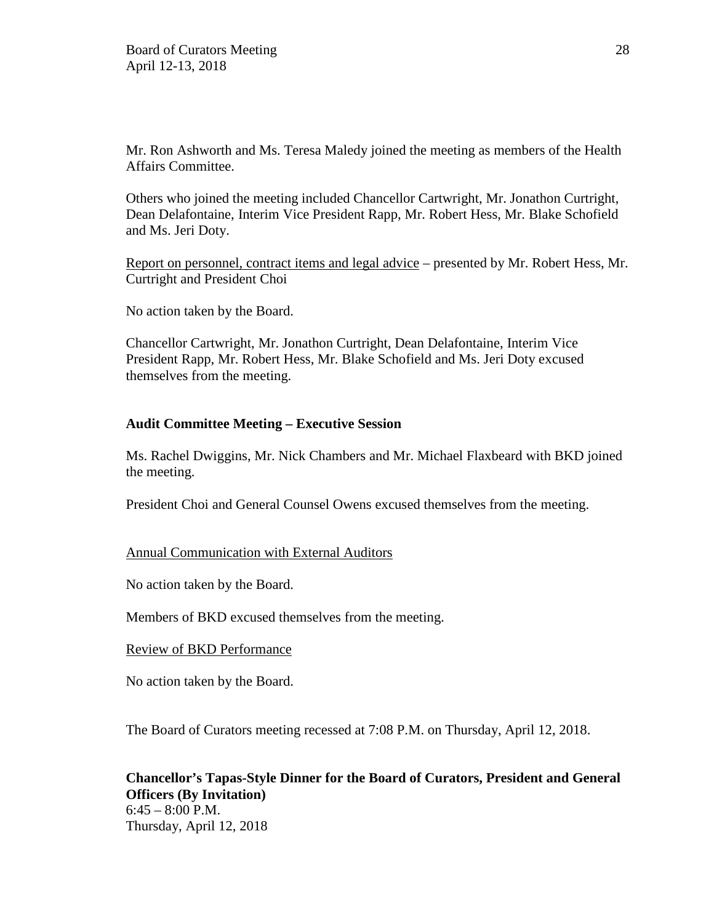Mr. Ron Ashworth and Ms. Teresa Maledy joined the meeting as members of the Health Affairs Committee.

Others who joined the meeting included Chancellor Cartwright, Mr. Jonathon Curtright, Dean Delafontaine, Interim Vice President Rapp, Mr. Robert Hess, Mr. Blake Schofield and Ms. Jeri Doty.

Report on personnel, contract items and legal advice – presented by Mr. Robert Hess, Mr. Curtright and President Choi

No action taken by the Board.

Chancellor Cartwright, Mr. Jonathon Curtright, Dean Delafontaine, Interim Vice President Rapp, Mr. Robert Hess, Mr. Blake Schofield and Ms. Jeri Doty excused themselves from the meeting.

### **Audit Committee Meeting – Executive Session**

Ms. Rachel Dwiggins, Mr. Nick Chambers and Mr. Michael Flaxbeard with BKD joined the meeting.

President Choi and General Counsel Owens excused themselves from the meeting.

### Annual Communication with External Auditors

No action taken by the Board.

Members of BKD excused themselves from the meeting.

### Review of BKD Performance

No action taken by the Board.

The Board of Curators meeting recessed at 7:08 P.M. on Thursday, April 12, 2018.

# **Chancellor's Tapas-Style Dinner for the Board of Curators, President and General Officers (By Invitation)**  $6:45 - 8:00$  P.M. Thursday, April 12, 2018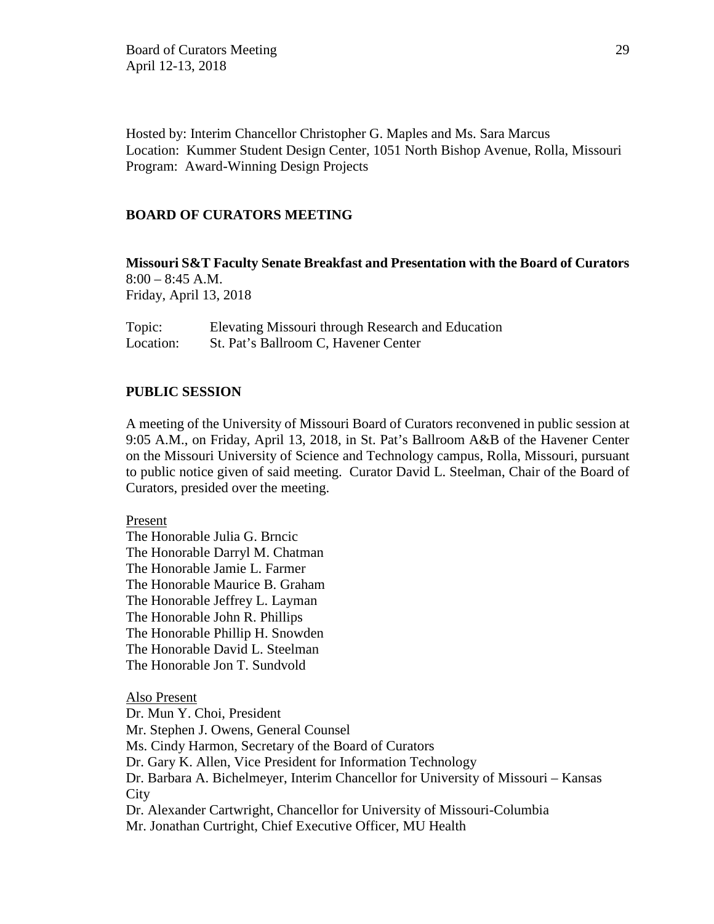Hosted by: Interim Chancellor Christopher G. Maples and Ms. Sara Marcus Location: Kummer Student Design Center, 1051 North Bishop Avenue, Rolla, Missouri Program: Award-Winning Design Projects

### **BOARD OF CURATORS MEETING**

**Missouri S&T Faculty Senate Breakfast and Presentation with the Board of Curators**  $8:00 - 8:45$  A.M. Friday, April 13, 2018

Topic: Elevating Missouri through Research and Education Location: St. Pat's Ballroom C, Havener Center

### **PUBLIC SESSION**

A meeting of the University of Missouri Board of Curators reconvened in public session at 9:05 A.M., on Friday, April 13, 2018, in St. Pat's Ballroom A&B of the Havener Center on the Missouri University of Science and Technology campus, Rolla, Missouri, pursuant to public notice given of said meeting. Curator David L. Steelman, Chair of the Board of Curators, presided over the meeting.

Present

The Honorable Julia G. Brncic The Honorable Darryl M. Chatman The Honorable Jamie L. Farmer The Honorable Maurice B. Graham The Honorable Jeffrey L. Layman The Honorable John R. Phillips The Honorable Phillip H. Snowden The Honorable David L. Steelman The Honorable Jon T. Sundvold

Also Present Dr. Mun Y. Choi, President Mr. Stephen J. Owens, General Counsel Ms. Cindy Harmon, Secretary of the Board of Curators Dr. Gary K. Allen, Vice President for Information Technology Dr. Barbara A. Bichelmeyer, Interim Chancellor for University of Missouri – Kansas **City** Dr. Alexander Cartwright, Chancellor for University of Missouri-Columbia Mr. Jonathan Curtright, Chief Executive Officer, MU Health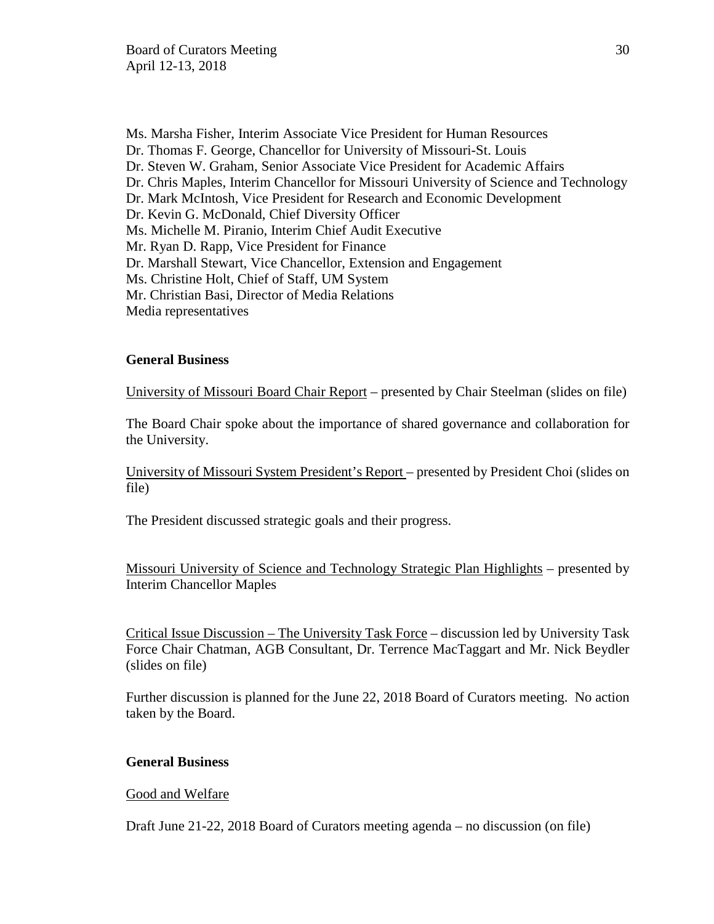Ms. Marsha Fisher, Interim Associate Vice President for Human Resources Dr. Thomas F. George, Chancellor for University of Missouri-St. Louis Dr. Steven W. Graham, Senior Associate Vice President for Academic Affairs Dr. Chris Maples, Interim Chancellor for Missouri University of Science and Technology Dr. Mark McIntosh, Vice President for Research and Economic Development Dr. Kevin G. McDonald, Chief Diversity Officer Ms. Michelle M. Piranio, Interim Chief Audit Executive Mr. Ryan D. Rapp, Vice President for Finance Dr. Marshall Stewart, Vice Chancellor, Extension and Engagement Ms. Christine Holt, Chief of Staff, UM System Mr. Christian Basi, Director of Media Relations Media representatives

### **General Business**

University of Missouri Board Chair Report – presented by Chair Steelman (slides on file)

The Board Chair spoke about the importance of shared governance and collaboration for the University.

University of Missouri System President's Report – presented by President Choi (slides on file)

The President discussed strategic goals and their progress.

Missouri University of Science and Technology Strategic Plan Highlights – presented by Interim Chancellor Maples

Critical Issue Discussion – The University Task Force – discussion led by University Task Force Chair Chatman, AGB Consultant, Dr. Terrence MacTaggart and Mr. Nick Beydler (slides on file)

Further discussion is planned for the June 22, 2018 Board of Curators meeting. No action taken by the Board.

### **General Business**

Good and Welfare

Draft June 21-22, 2018 Board of Curators meeting agenda – no discussion (on file)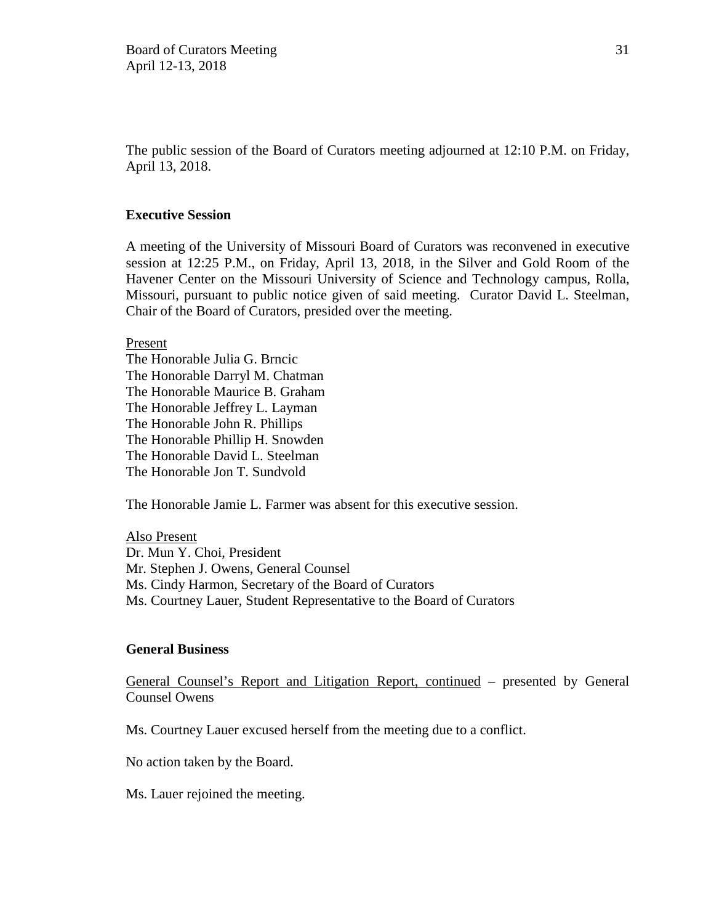The public session of the Board of Curators meeting adjourned at 12:10 P.M. on Friday, April 13, 2018.

### **Executive Session**

A meeting of the University of Missouri Board of Curators was reconvened in executive session at 12:25 P.M., on Friday, April 13, 2018, in the Silver and Gold Room of the Havener Center on the Missouri University of Science and Technology campus, Rolla, Missouri, pursuant to public notice given of said meeting. Curator David L. Steelman, Chair of the Board of Curators, presided over the meeting.

Present

The Honorable Julia G. Brncic The Honorable Darryl M. Chatman The Honorable Maurice B. Graham The Honorable Jeffrey L. Layman The Honorable John R. Phillips The Honorable Phillip H. Snowden The Honorable David L. Steelman The Honorable Jon T. Sundvold

The Honorable Jamie L. Farmer was absent for this executive session.

Also Present Dr. Mun Y. Choi, President Mr. Stephen J. Owens, General Counsel Ms. Cindy Harmon, Secretary of the Board of Curators Ms. Courtney Lauer, Student Representative to the Board of Curators

### **General Business**

General Counsel's Report and Litigation Report, continued – presented by General Counsel Owens

Ms. Courtney Lauer excused herself from the meeting due to a conflict.

No action taken by the Board.

Ms. Lauer rejoined the meeting.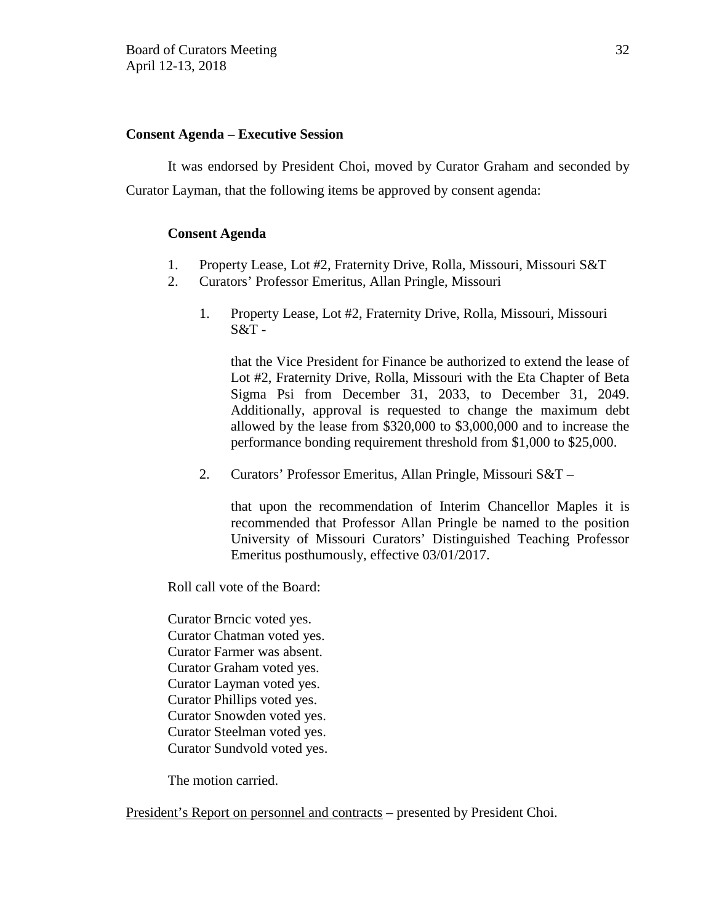### **Consent Agenda – Executive Session**

It was endorsed by President Choi, moved by Curator Graham and seconded by Curator Layman, that the following items be approved by consent agenda:

### **Consent Agenda**

- 1. Property Lease, Lot #2, Fraternity Drive, Rolla, Missouri, Missouri S&T
- 2. Curators' Professor Emeritus, Allan Pringle, Missouri
	- 1. Property Lease, Lot #2, Fraternity Drive, Rolla, Missouri, Missouri  $S&T$  -

that the Vice President for Finance be authorized to extend the lease of Lot #2, Fraternity Drive, Rolla, Missouri with the Eta Chapter of Beta Sigma Psi from December 31, 2033, to December 31, 2049. Additionally, approval is requested to change the maximum debt allowed by the lease from \$320,000 to \$3,000,000 and to increase the performance bonding requirement threshold from \$1,000 to \$25,000.

2. Curators' Professor Emeritus, Allan Pringle, Missouri S&T –

that upon the recommendation of Interim Chancellor Maples it is recommended that Professor Allan Pringle be named to the position University of Missouri Curators' Distinguished Teaching Professor Emeritus posthumously, effective 03/01/2017.

Roll call vote of the Board:

Curator Brncic voted yes. Curator Chatman voted yes. Curator Farmer was absent. Curator Graham voted yes. Curator Layman voted yes. Curator Phillips voted yes. Curator Snowden voted yes. Curator Steelman voted yes. Curator Sundvold voted yes.

The motion carried.

President's Report on personnel and contracts – presented by President Choi.